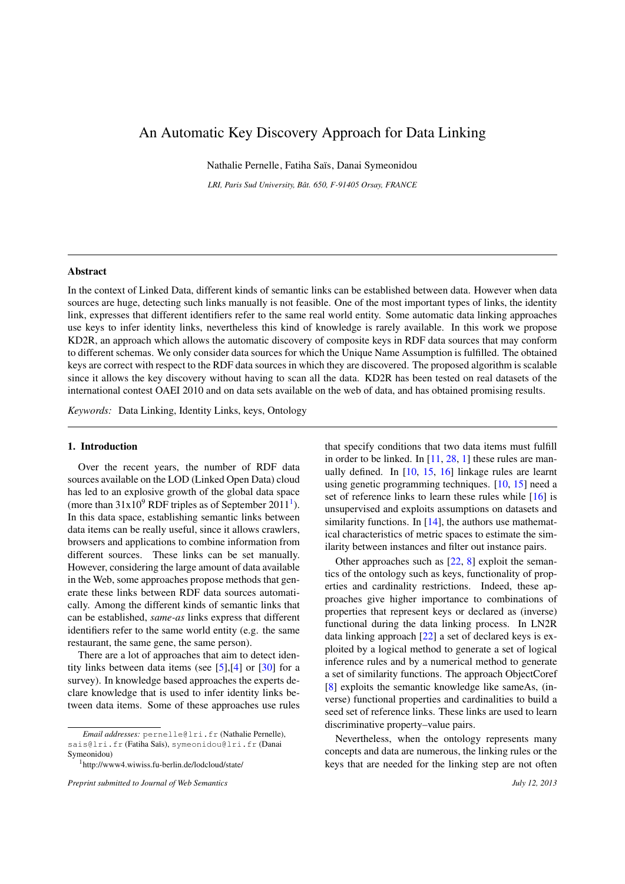# An Automatic Key Discovery Approach for Data Linking

Nathalie Pernelle, Fatiha Saïs, Danai Symeonidou

*LRI, Paris Sud University, Bât. 650, F-91405 Orsay, FRANCE*

## Abstract

In the context of Linked Data, different kinds of semantic links can be established between data. However when data sources are huge, detecting such links manually is not feasible. One of the most important types of links, the identity link, expresses that different identifiers refer to the same real world entity. Some automatic data linking approaches use keys to infer identity links, nevertheless this kind of knowledge is rarely available. In this work we propose KD2R, an approach which allows the automatic discovery of composite keys in RDF data sources that may conform to different schemas. We only consider data sources for which the Unique Name Assumption is fulfilled. The obtained keys are correct with respect to the RDF data sources in which they are discovered. The proposed algorithm is scalable since it allows the key discovery without having to scan all the data. KD2R has been tested on real datasets of the international contest OAEI 2010 and on data sets available on the web of data, and has obtained promising results.

*Keywords:* Data Linking, Identity Links, keys, Ontology

#### 1. Introduction

Over the recent years, the number of RDF data sources available on the LOD (Linked Open Data) cloud has led to an explosive growth of the global data space (more than  $31x10^9$  $31x10^9$  $31x10^9$  RDF triples as of September 2011<sup>1</sup>). In this data space, establishing semantic links between data items can be really useful, since it allows crawlers, browsers and applications to combine information from different sources. These links can be set manually. However, considering the large amount of data available in the Web, some approaches propose methods that generate these links between RDF data sources automatically. Among the different kinds of semantic links that can be established, *same-as* links express that different identifiers refer to the same world entity (e.g. the same restaurant, the same gene, the same person).

There are a lot of approaches that aim to detect identity links between data items (see  $[5]$ , $[4]$  or  $[30]$  for a survey). In knowledge based approaches the experts declare knowledge that is used to infer identity links between data items. Some of these approaches use rules that specify conditions that two data items must fulfill in order to be linked. In  $[11, 28, 1]$  $[11, 28, 1]$  $[11, 28, 1]$  $[11, 28, 1]$  $[11, 28, 1]$  these rules are manually defined. In  $[10, 15, 16]$  $[10, 15, 16]$  $[10, 15, 16]$  $[10, 15, 16]$  $[10, 15, 16]$  linkage rules are learnt using genetic programming techniques. [\[10,](#page-20-4) [15\]](#page-21-2) need a set of reference links to learn these rules while [\[16\]](#page-21-3) is unsupervised and exploits assumptions on datasets and similarity functions. In  $[14]$ , the authors use mathematical characteristics of metric spaces to estimate the similarity between instances and filter out instance pairs.

Other approaches such as  $[22, 8]$  $[22, 8]$  $[22, 8]$  exploit the semantics of the ontology such as keys, functionality of properties and cardinality restrictions. Indeed, these approaches give higher importance to combinations of properties that represent keys or declared as (inverse) functional during the data linking process. In LN2R data linking approach [\[22\]](#page-21-5) a set of declared keys is exploited by a logical method to generate a set of logical inference rules and by a numerical method to generate a set of similarity functions. The approach ObjectCoref [\[8\]](#page-20-5) exploits the semantic knowledge like sameAs, (inverse) functional properties and cardinalities to build a seed set of reference links. These links are used to learn discriminative property–value pairs.

Nevertheless, when the ontology represents many concepts and data are numerous, the linking rules or the keys that are needed for the linking step are not often

*Email addresses:* pernelle@lri.fr (Nathalie Pernelle), sais@lri.fr (Fatiha Saïs), symeonidou@lri.fr (Danai Symeonidou)

<span id="page-0-0"></span><sup>1</sup>http://www4.wiwiss.fu-berlin.de/lodcloud/state/

*Preprint submitted to Journal of Web Semantics July 12, 2013*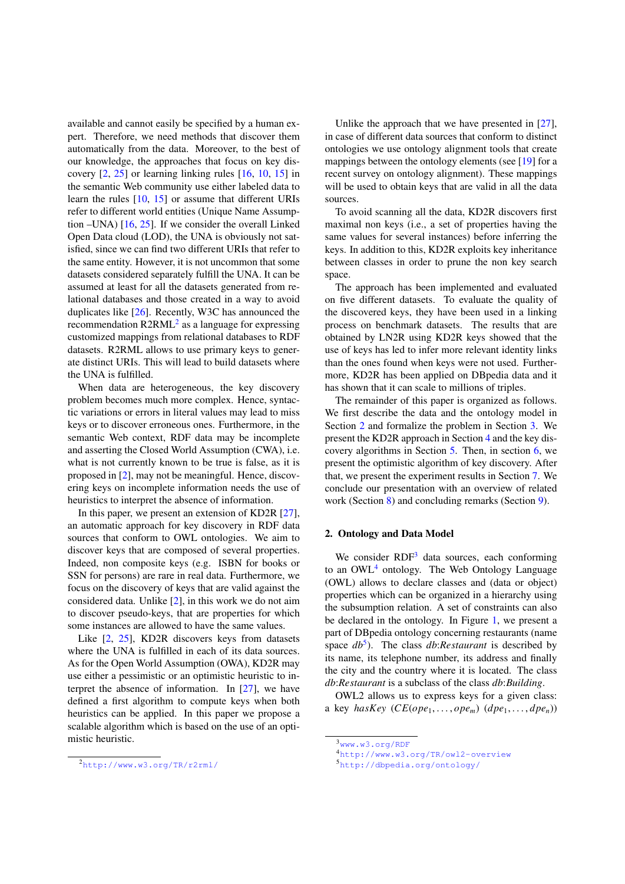available and cannot easily be specified by a human expert. Therefore, we need methods that discover them automatically from the data. Moreover, to the best of our knowledge, the approaches that focus on key discovery [\[2,](#page-20-6) [25\]](#page-21-6) or learning linking rules [\[16,](#page-21-3) [10,](#page-20-4) [15\]](#page-21-2) in the semantic Web community use either labeled data to learn the rules [\[10,](#page-20-4) [15\]](#page-21-2) or assume that different URIs refer to different world entities (Unique Name Assumption –UNA) [\[16,](#page-21-3) [25\]](#page-21-6). If we consider the overall Linked Open Data cloud (LOD), the UNA is obviously not satisfied, since we can find two different URIs that refer to the same entity. However, it is not uncommon that some datasets considered separately fulfill the UNA. It can be assumed at least for all the datasets generated from relational databases and those created in a way to avoid duplicates like [\[26\]](#page-21-7). Recently, W3C has announced the recommendation  $R2RML<sup>2</sup>$  $R2RML<sup>2</sup>$  $R2RML<sup>2</sup>$  as a language for expressing customized mappings from relational databases to RDF datasets. R2RML allows to use primary keys to generate distinct URIs. This will lead to build datasets where the UNA is fulfilled.

When data are heterogeneous, the key discovery problem becomes much more complex. Hence, syntactic variations or errors in literal values may lead to miss keys or to discover erroneous ones. Furthermore, in the semantic Web context, RDF data may be incomplete and asserting the Closed World Assumption (CWA), i.e. what is not currently known to be true is false, as it is proposed in [\[2\]](#page-20-6), may not be meaningful. Hence, discovering keys on incomplete information needs the use of heuristics to interpret the absence of information.

In this paper, we present an extension of KD2R [\[27\]](#page-21-8), an automatic approach for key discovery in RDF data sources that conform to OWL ontologies. We aim to discover keys that are composed of several properties. Indeed, non composite keys (e.g. ISBN for books or SSN for persons) are rare in real data. Furthermore, we focus on the discovery of keys that are valid against the considered data. Unlike [\[2\]](#page-20-6), in this work we do not aim to discover pseudo-keys, that are properties for which some instances are allowed to have the same values.

Like [\[2,](#page-20-6) [25\]](#page-21-6), KD2R discovers keys from datasets where the UNA is fulfilled in each of its data sources. As for the Open World Assumption (OWA), KD2R may use either a pessimistic or an optimistic heuristic to interpret the absence of information. In [\[27\]](#page-21-8), we have defined a first algorithm to compute keys when both heuristics can be applied. In this paper we propose a scalable algorithm which is based on the use of an optimistic heuristic.

Unlike the approach that we have presented in [\[27\]](#page-21-8). in case of different data sources that conform to distinct ontologies we use ontology alignment tools that create mappings between the ontology elements (see [\[19\]](#page-21-9) for a recent survey on ontology alignment). These mappings will be used to obtain keys that are valid in all the data sources.

To avoid scanning all the data, KD2R discovers first maximal non keys (i.e., a set of properties having the same values for several instances) before inferring the keys. In addition to this, KD2R exploits key inheritance between classes in order to prune the non key search space.

The approach has been implemented and evaluated on five different datasets. To evaluate the quality of the discovered keys, they have been used in a linking process on benchmark datasets. The results that are obtained by LN2R using KD2R keys showed that the use of keys has led to infer more relevant identity links than the ones found when keys were not used. Furthermore, KD2R has been applied on DBpedia data and it has shown that it can scale to millions of triples.

The remainder of this paper is organized as follows. We first describe the data and the ontology model in Section [2](#page-1-1) and formalize the problem in Section [3.](#page-2-0) We present the KD2R approach in Section [4](#page-3-0) and the key discovery algorithms in Section [5.](#page-5-0) Then, in section [6,](#page-11-0) we present the optimistic algorithm of key discovery. After that, we present the experiment results in Section [7.](#page-11-1) We conclude our presentation with an overview of related work (Section [8\)](#page-18-0) and concluding remarks (Section [9\)](#page-20-7).

## <span id="page-1-1"></span>2. Ontology and Data Model

We consider  $RDF<sup>3</sup>$  $RDF<sup>3</sup>$  $RDF<sup>3</sup>$  data sources, each conforming to an  $\text{OWL}^4$  $\text{OWL}^4$  ontology. The Web Ontology Language (OWL) allows to declare classes and (data or object) properties which can be organized in a hierarchy using the subsumption relation. A set of constraints can also be declared in the ontology. In Figure [1,](#page-2-1) we present a part of DBpedia ontology concerning restaurants (name space  $db^5$  $db^5$ ). The class  $db$ :*Restaurant* is described by its name, its telephone number, its address and finally the city and the country where it is located. The class *db*:*Restaurant* is a subclass of the class *db*:*Building*.

OWL2 allows us to express keys for a given class: a key *hasKey*  $(CE(open_1, \ldots, open_n)$   $(dpe_1, \ldots, dpe_n))$ 

<span id="page-1-0"></span><sup>2</sup><http://www.w3.org/TR/r2rml/>

<span id="page-1-2"></span><sup>3</sup><www.w3.org/RDF>

<span id="page-1-3"></span><sup>4</sup><http://www.w3.org/TR/owl2-overview>

<span id="page-1-4"></span><sup>5</sup><http://dbpedia.org/ontology/>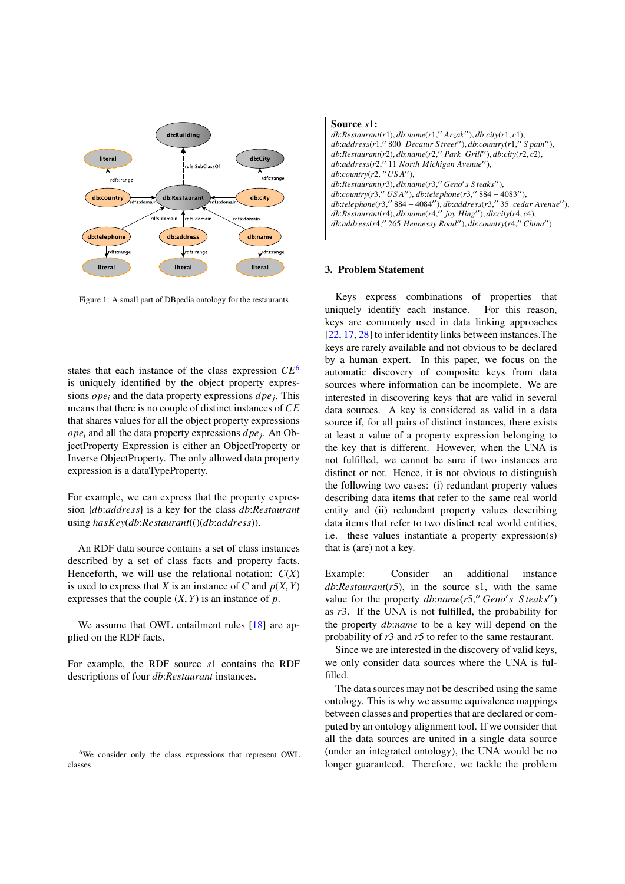<span id="page-2-1"></span>

Figure 1: A small part of DBpedia ontology for the restaurants

states that each instance of the class expression *CE*[6](#page-2-2) is uniquely identified by the object property expressions  $ope_i$  and the data property expressions  $dpe_j$ . This means that there is no couple of distinct instances of *CE* that shares values for all the object property expressions  $ope_i$  and all the data property expressions  $dpe_j$ . An ObjectProperty Expression is either an ObjectProperty or Inverse ObjectProperty. The only allowed data property expression is a dataTypeProperty.

For example, we can express that the property expression {*db*:*address*} is a key for the class *db*:*Restaurant* using *hasKey*(*db*:*Restaurant*(()(*db*:*address*)).

An RDF data source contains a set of class instances described by a set of class facts and property facts. Henceforth, we will use the relational notation:  $C(X)$ is used to express that *X* is an instance of *C* and  $p(X, Y)$ expresses that the couple  $(X, Y)$  is an instance of  $p$ .

We assume that OWL entailment rules [\[18\]](#page-21-10) are applied on the RDF facts.

For example, the RDF source *s*1 contains the RDF descriptions of four *db*:*Restaurant* instances.

| Source $s1$ :                                                           |
|-------------------------------------------------------------------------|
| $db:$ Restaurant(r1), $db:$ name(r1," Arzak"), $db:$ city(r1, c1),      |
| $db: address(r1," 800$ Decatur Street"), $db: country(r1," S pain")$ ,  |
| $db:$ Restaurant(r2), $db:$ name(r2," Park Grill"), $db:$ city(r2, c2), |
| $db: address(r2," 11$ North Michigan Avenue"),                          |
| $db$ :country(r2, "USA"),                                               |
| $db:$ Restaurant(r3), $db:$ name(r3," Geno's Steaks"),                  |
| $db: country(r3," USA''), db: telephone(r3," 884 - 4083''),$            |
| $db:telephone(r3." 884-4084''), db: address(r3." 35cedar Avenue''),$    |
| $db:$ Restaurant(r4), $db:$ name(r4," joy Hing"), $db:$ city(r4, c4),   |
| $db: address(r4." 265 Hennessv Road''), db: country(r4." China'')$      |
|                                                                         |

#### <span id="page-2-0"></span>3. Problem Statement

Keys express combinations of properties that uniquely identify each instance. For this reason, keys are commonly used in data linking approaches [\[22,](#page-21-5) [17,](#page-21-11) [28\]](#page-21-1) to infer identity links between instances.The keys are rarely available and not obvious to be declared by a human expert. In this paper, we focus on the automatic discovery of composite keys from data sources where information can be incomplete. We are interested in discovering keys that are valid in several data sources. A key is considered as valid in a data source if, for all pairs of distinct instances, there exists at least a value of a property expression belonging to the key that is different. However, when the UNA is not fulfilled, we cannot be sure if two instances are distinct or not. Hence, it is not obvious to distinguish the following two cases: (i) redundant property values describing data items that refer to the same real world entity and (ii) redundant property values describing data items that refer to two distinct real world entities, i.e. these values instantiate a property expression(s) that is (are) not a key.

Example: Consider an additional instance  $db:$ *Restaurant*( $r5$ ), in the source s1, with the same value for the property  $db$ :*name*( $r5$ ," Geno's Steaks")<br>as  $r3$ . If the UNA is not fulfilled, the probability for as *r*3. If the UNA is not fulfilled, the probability for the property *db*:*name* to be a key will depend on the probability of *r*3 and *r*5 to refer to the same restaurant.

Since we are interested in the discovery of valid keys, we only consider data sources where the UNA is fulfilled.

The data sources may not be described using the same ontology. This is why we assume equivalence mappings between classes and properties that are declared or computed by an ontology alignment tool. If we consider that all the data sources are united in a single data source (under an integrated ontology), the UNA would be no longer guaranteed. Therefore, we tackle the problem

<span id="page-2-2"></span><sup>6</sup>We consider only the class expressions that represent OWL classes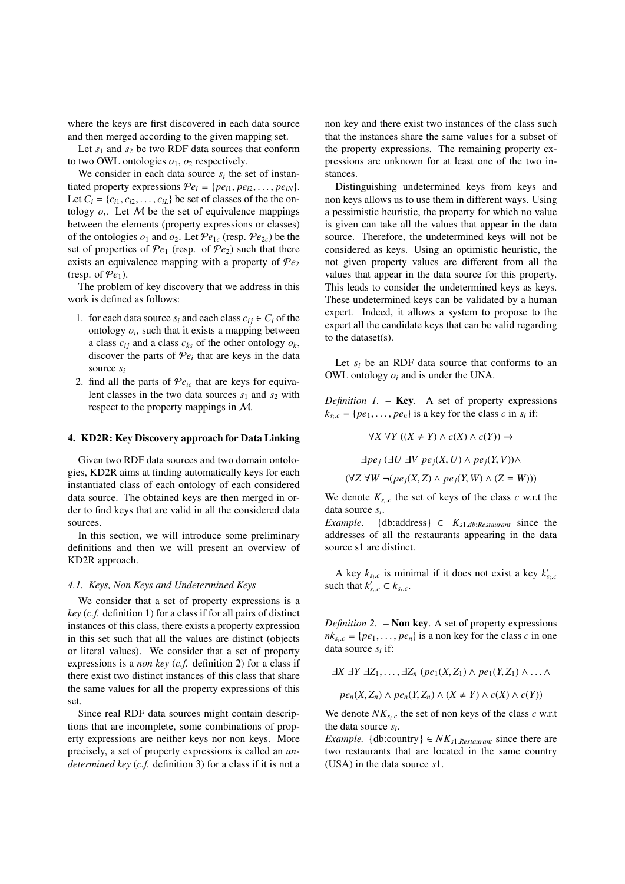where the keys are first discovered in each data source and then merged according to the given mapping set.

Let  $s_1$  and  $s_2$  be two RDF data sources that conform to two OWL ontologies  $o_1$ ,  $o_2$  respectively.

We consider in each data source  $s_i$  the set of instantiated property expressions  $Pe_i = \{pe_{i1}, pe_{i2}, \ldots, pe_{iN}\}.$ Let  $C_i = \{c_{i1}, c_{i2}, \ldots, c_{iL}\}\$  be set of classes of the the ontology  $o_i$ . Let  $M$  be the set of equivalence mappings between the elements (property expressions or classes) of the ontologies  $o_1$  and  $o_2$ . Let  $\mathcal{P}e_{1c}$  (resp.  $\mathcal{P}e_{2c}$ ) be the set of properties of  $\mathcal{P}e_1$  (resp. of  $\mathcal{P}e_2$ ) such that there exists an equivalence mapping with a property of  $Pe<sub>2</sub>$ (resp. of  $\mathcal{P}e_1$ ).

The problem of key discovery that we address in this work is defined as follows:

- 1. for each data source  $s_i$  and each class  $c_{ij} \in C_i$  of the ontology  $o_i$ , such that it exists a mapping between a class  $c_{ij}$  and a class  $c_{ks}$  of the other ontology  $o_k$ , discover the parts of  $Pe<sub>i</sub>$  that are keys in the data source *s<sup>i</sup>*
- 2. find all the parts of  $Pe<sub>ic</sub>$  that are keys for equivalent classes in the two data sources  $s_1$  and  $s_2$  with respect to the property mappings in M.

#### <span id="page-3-0"></span>4. KD2R: Key Discovery approach for Data Linking

Given two RDF data sources and two domain ontologies, KD2R aims at finding automatically keys for each instantiated class of each ontology of each considered data source. The obtained keys are then merged in order to find keys that are valid in all the considered data sources.

In this section, we will introduce some preliminary definitions and then we will present an overview of KD2R approach.

#### <span id="page-3-1"></span>*4.1. Keys, Non Keys and Undetermined Keys*

We consider that a set of property expressions is a *key* (*c.f.* definition 1) for a class if for all pairs of distinct instances of this class, there exists a property expression in this set such that all the values are distinct (objects or literal values). We consider that a set of property expressions is a *non key* (*c.f.* definition 2) for a class if there exist two distinct instances of this class that share the same values for all the property expressions of this set.

Since real RDF data sources might contain descriptions that are incomplete, some combinations of property expressions are neither keys nor non keys. More precisely, a set of property expressions is called an *undetermined key* (*c.f.* definition 3) for a class if it is not a non key and there exist two instances of the class such that the instances share the same values for a subset of the property expressions. The remaining property expressions are unknown for at least one of the two instances.

Distinguishing undetermined keys from keys and non keys allows us to use them in different ways. Using a pessimistic heuristic, the property for which no value is given can take all the values that appear in the data source. Therefore, the undetermined keys will not be considered as keys. Using an optimistic heuristic, the not given property values are different from all the values that appear in the data source for this property. This leads to consider the undetermined keys as keys. These undetermined keys can be validated by a human expert. Indeed, it allows a system to propose to the expert all the candidate keys that can be valid regarding to the dataset(s).

Let *s<sub>i</sub>* be an RDF data source that conforms to an OWL ontology *o<sup>i</sup>* and is under the UNA.

*Definition 1.* – **Key**. A set of property expressions  $k_{s_i,c} = {pe_1, \ldots, pe_n}$  is a key for the class *c* in *s<sub>i</sub>* if:

$$
\forall X \ \forall Y \ ((X \neq Y) \land c(X) \land c(Y)) \Rightarrow
$$
  
\n
$$
\exists pe_j \ (\exists U \ \exists V \ pe_j(X, U) \land pe_j(Y, V)) \land
$$
  
\n
$$
(\forall Z \ \forall W \ \neg (pe_j(X, Z) \land pe_j(Y, W) \land (Z = W)))
$$

We denote  $K_{s_i,c}$  the set of keys of the class  $c$  w.r.t the data source *s<sup>i</sup>* .

*Example*. {db:address}  $\in$   $K_{s1.db:Result}$  since the addresses of all the restaurants appearing in the data source s1 are distinct.

A key  $k_{s_i,c}$  is minimal if it does not exist a key  $k'_{s_i,c}$ <br>ch that  $k' \subset k$ such that  $k'_{s_i,c} \subset k_{s_i,c}$ .

*Definition 2.* – Non key. A set of property expressions  $nk_{s_i,c} = \{pe_1, \ldots, pe_n\}$  is a non key for the class *c* in one data source *s*. if: data source  $s_i$  if:

$$
\exists X \exists Y \exists Z_1,\ldots,\exists Z_n (pe_1(X,Z_1) \wedge pe_1(Y,Z_1) \wedge \ldots \wedge
$$

$$
pe_n(X, Z_n) \wedge pe_n(Y, Z_n) \wedge (X \neq Y) \wedge c(X) \wedge c(Y))
$$

We denote  $NK_{s_i,c}$  the set of non keys of the class  $c$  w.r.t the data source *s<sup>i</sup>* .

*Example.* {db:country}  $\in NK_{s1.$ *Restaurant* since there are two restaurants that are located in the same country (USA) in the data source *s*1.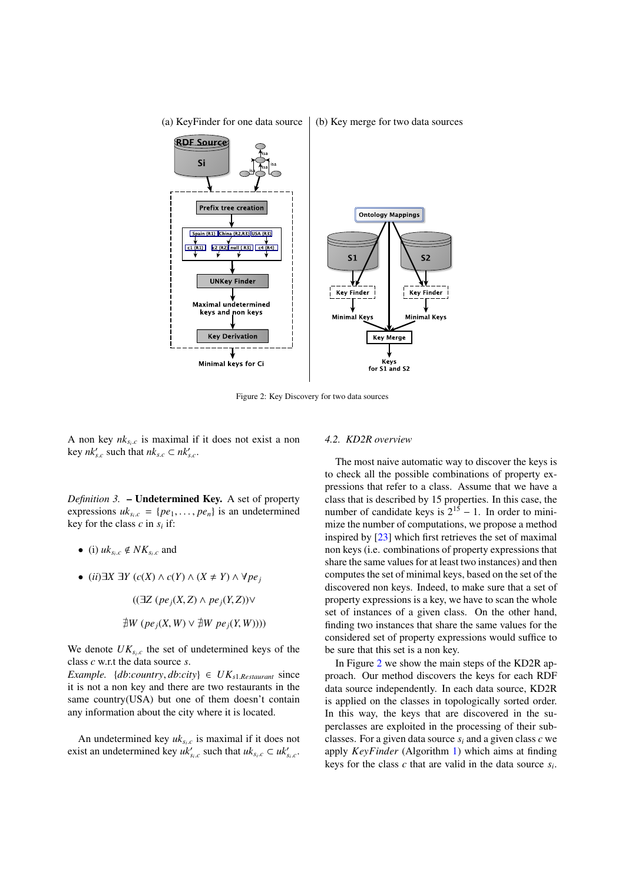

<span id="page-4-0"></span>(a) KeyFinder for one data source  $\mid$  (b) Key merge for two data sources

Figure 2: Key Discovery for two data sources

A non key  $nk_{s_i,c}$  is maximal if it does not exist a non<br>lievent's such that  $nk = \epsilon n!$  $key nk'_{s.c}$  such that  $nk_{s.c} \subset nk'_{s.c}$ .

*Definition 3.* – Undetermined Key. A set of property expressions  $uk_{s_i,c} = \{pe_1, \ldots, pe_n\}$  is an undetermined key for the class c in s. if: key for the class  $c$  in  $s_i$  if:

- (i)  $uk_{s_i,c} \notin NK_{s_i,c}$  and
- $\bullet$  (*ii*) $\exists X \exists Y \ (c(X) \land c(Y) \land (X \neq Y) \land \forall pe_j$

$$
((\exists Z (pe_j(X, Z) \land pe_j(Y, Z)) \lor
$$
  

$$
\nexists W (pe_j(X, W) \lor \nexists W pe_j(Y, W))))
$$

We denote  $UK_{s_i,c}$  the set of undetermined keys of the set of undetermined keys of the class *c* w.r.t the data source *s*.

*Example.* {*db*:*country*, *db*:*city*}  $\in$  *UK*<sub>s1.*Restaurant* since</sub> it is not a non key and there are two restaurants in the same country(USA) but one of them doesn't contain any information about the city where it is located.

An undetermined key  $uk_{s_i,c}$  is maximal if it does not exist an undetermined key  $uk'_{s_i,c}$  such that  $uk_{s_i,c} \subset uk'_{s_i,c}$ .

## *4.2. KD2R overview*

The most naive automatic way to discover the keys is to check all the possible combinations of property expressions that refer to a class. Assume that we have a class that is described by 15 properties. In this case, the number of candidate keys is  $2^{15} - 1$ . In order to minimize the number of computations, we propose a method inspired by [\[23\]](#page-21-12) which first retrieves the set of maximal non keys (i.e. combinations of property expressions that share the same values for at least two instances) and then computes the set of minimal keys, based on the set of the discovered non keys. Indeed, to make sure that a set of property expressions is a key, we have to scan the whole set of instances of a given class. On the other hand, finding two instances that share the same values for the considered set of property expressions would suffice to be sure that this set is a non key.

In Figure [2](#page-4-0) we show the main steps of the KD2R approach. Our method discovers the keys for each RDF data source independently. In each data source, KD2R is applied on the classes in topologically sorted order. In this way, the keys that are discovered in the superclasses are exploited in the processing of their subclasses. For a given data source  $s_i$  and a given class  $c$  we apply *KeyFinder* (Algorithm [1\)](#page-5-1) which aims at finding keys for the class  $c$  that are valid in the data source  $s_i$ .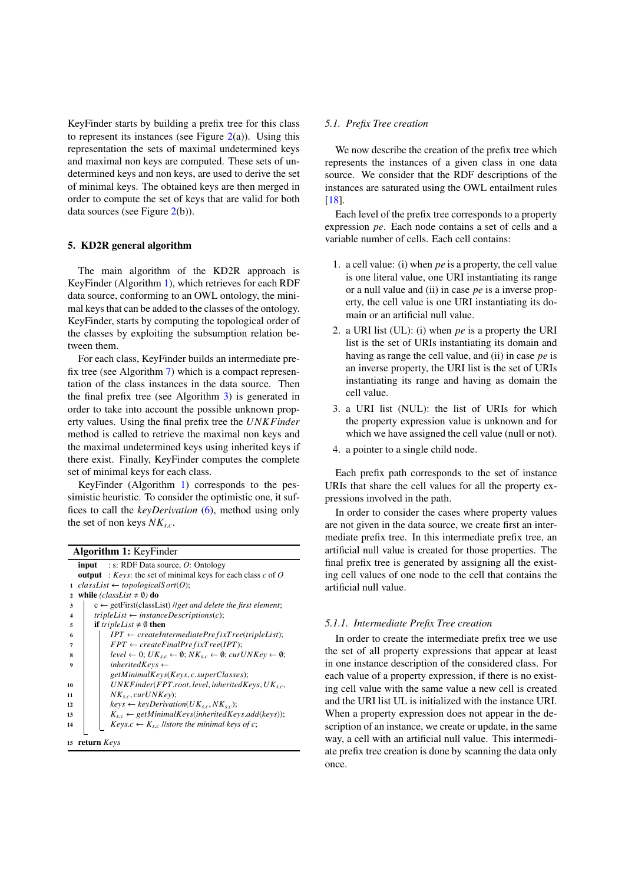KeyFinder starts by building a prefix tree for this class to represent its instances (see Figure [2\(](#page-4-0)a)). Using this representation the sets of maximal undetermined keys and maximal non keys are computed. These sets of undetermined keys and non keys, are used to derive the set of minimal keys. The obtained keys are then merged in order to compute the set of keys that are valid for both data sources (see Figure [2\(](#page-4-0)b)).

#### <span id="page-5-0"></span>5. KD2R general algorithm

The main algorithm of the KD2R approach is KeyFinder (Algorithm [1\)](#page-5-1), which retrieves for each RDF data source, conforming to an OWL ontology, the minimal keys that can be added to the classes of the ontology. KeyFinder, starts by computing the topological order of the classes by exploiting the subsumption relation between them.

For each class, KeyFinder builds an intermediate prefix tree (see Algorithm [7\)](#page-11-2) which is a compact representation of the class instances in the data source. Then the final prefix tree (see Algorithm [3\)](#page-6-0) is generated in order to take into account the possible unknown property values. Using the final prefix tree the *UNKFinder* method is called to retrieve the maximal non keys and the maximal undetermined keys using inherited keys if there exist. Finally, KeyFinder computes the complete set of minimal keys for each class.

KeyFinder (Algorithm [1\)](#page-5-1) corresponds to the pessimistic heuristic. To consider the optimistic one, it suffices to call the *keyDerivation* [\(6\)](#page-10-0), method using only the set of non keys  $NK_{s.c.}$ 

<span id="page-5-1"></span>

| <b>Algorithm 1: KeyFinder</b>                                                                                                   |
|---------------------------------------------------------------------------------------------------------------------------------|
| <b>input</b> : s: RDF Data source, $O$ : Ontology                                                                               |
| <b>output</b> : Keys: the set of minimal keys for each class c of O                                                             |
| $classList \leftarrow topologicalSort(O);$<br>$\mathbf{1}$                                                                      |
| while $(classList \neq \emptyset)$ do<br>$\overline{2}$                                                                         |
| $c \leftarrow$ getFirst(classList) <i>llget and delete the first element</i> ;<br>3                                             |
| $tripleList \leftarrow instanceDescriptions(c);$<br>$\overline{\mathbf{4}}$                                                     |
| <b>if</b> tripleList $\neq \emptyset$ then<br>5                                                                                 |
| $IPT \leftarrow createInternet and a tePrefixTree(tripleList);$<br>6                                                            |
| $FPT \leftarrow createFinalPrefixTree(IPT);$<br>7                                                                               |
| $level \leftarrow 0$ ; $UK_{sc} \leftarrow \emptyset$ ; $NK_{sc} \leftarrow \emptyset$ ; curVNKey $\leftarrow \emptyset$ ;<br>8 |
| inheritedKeys $\leftarrow$<br>9                                                                                                 |
| getMinimalKeys(Keys, c.superClasses);                                                                                           |
| $UNKFinder(FPT(root, level, inherited Keys, UK_{sc},$<br>10                                                                     |
| $NK_{sc}$ , curUNKey);<br>11                                                                                                    |
| $keys \leftarrow keyDerivation(UK_{sc}, NK_{sc});$<br>12                                                                        |
| $K_{s,c} \leftarrow getMinimalKeys (inheittedKeys.add(keys));$<br>13                                                            |
| $Keys.c \leftarrow K_{s.c}$ //store the minimal keys of c;<br>14                                                                |
|                                                                                                                                 |
| 15 return Keys                                                                                                                  |

## *5.1. Prefix Tree creation*

We now describe the creation of the prefix tree which represents the instances of a given class in one data source. We consider that the RDF descriptions of the instances are saturated using the OWL entailment rules [\[18\]](#page-21-10).

Each level of the prefix tree corresponds to a property expression *pe*. Each node contains a set of cells and a variable number of cells. Each cell contains:

- 1. a cell value: (i) when *pe* is a property, the cell value is one literal value, one URI instantiating its range or a null value and (ii) in case *pe* is a inverse property, the cell value is one URI instantiating its domain or an artificial null value.
- 2. a URI list (UL): (i) when *pe* is a property the URI list is the set of URIs instantiating its domain and having as range the cell value, and (ii) in case *pe* is an inverse property, the URI list is the set of URIs instantiating its range and having as domain the cell value.
- 3. a URI list (NUL): the list of URIs for which the property expression value is unknown and for which we have assigned the cell value (null or not).
- 4. a pointer to a single child node.

Each prefix path corresponds to the set of instance URIs that share the cell values for all the property expressions involved in the path.

In order to consider the cases where property values are not given in the data source, we create first an intermediate prefix tree. In this intermediate prefix tree, an artificial null value is created for those properties. The final prefix tree is generated by assigning all the existing cell values of one node to the cell that contains the artificial null value.

#### *5.1.1. Intermediate Prefix Tree creation*

In order to create the intermediate prefix tree we use the set of all property expressions that appear at least in one instance description of the considered class. For each value of a property expression, if there is no existing cell value with the same value a new cell is created and the URI list UL is initialized with the instance URI. When a property expression does not appear in the description of an instance, we create or update, in the same way, a cell with an artificial null value. This intermediate prefix tree creation is done by scanning the data only once.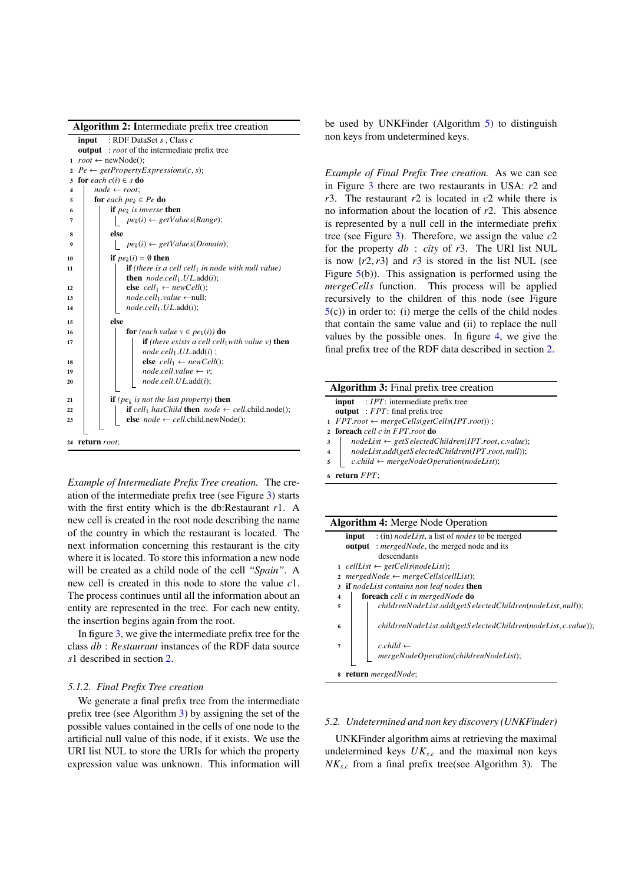

*Example of Intermediate Prefix Tree creation.* The creation of the intermediate prefix tree (see Figure [3\)](#page-7-0) starts with the first entity which is the db:Restaurant *r*1. A new cell is created in the root node describing the name of the country in which the restaurant is located. The next information concerning this restaurant is the city where it is located. To store this information a new node will be created as a child node of the cell *"Spain"*. A new cell is created in this node to store the value *c*1. The process continues until all the information about an entity are represented in the tree. For each new entity, the insertion begins again from the root.

In figure [3,](#page-7-0) we give the intermediate prefix tree for the class *db* : *Restaurant* instances of the RDF data source *s*1 described in section [2.](#page-1-1)

## *5.1.2. Final Prefix Tree creation*

We generate a final prefix tree from the intermediate prefix tree (see Algorithm [3\)](#page-6-0) by assigning the set of the possible values contained in the cells of one node to the artificial null value of this node, if it exists. We use the URI list NUL to store the URIs for which the property expression value was unknown. This information will be used by UNKFinder (Algorithm [5\)](#page-9-0) to distinguish non keys from undetermined keys.

*Example of Final Prefix Tree creation.* As we can see in Figure [3](#page-7-0) there are two restaurants in USA: *r*2 and *r*3. The restaurant *r*2 is located in *c*2 while there is no information about the location of *r*2. This absence is represented by a null cell in the intermediate prefix tree (see Figure [3\)](#page-7-0). Therefore, we assign the value *c*2 for the property *db* : *city* of *r*3. The URI list NUL is now  $\{r2, r3\}$  and  $r3$  is stored in the list NUL (see Figure  $5(b)$  $5(b)$ ). This assignation is performed using the *mergeCells* function. This process will be applied recursively to the children of this node (see Figure  $5(c)$  $5(c)$ ) in order to: (i) merge the cells of the child nodes that contain the same value and (ii) to replace the null values by the possible ones. In figure [4,](#page-7-2) we give the final prefix tree of the RDF data described in section [2.](#page-1-1)

<span id="page-6-0"></span>

| <b>Algorithm 3:</b> Final prefix tree creation                                |
|-------------------------------------------------------------------------------|
| <b>input</b> : $IPT$ : intermediate prefix tree                               |
| output : $FPT$ : final prefix tree                                            |
| $1$ FPT.root $\leftarrow$ mergeCells(getCells(IPT.root));                     |
| $\frac{1}{2}$ foreach cell c in FPT root do                                   |
| $nodeList \leftarrow getSelectedChildren(IPT(root, c.value);$<br>3            |
| nodeList.add(getSelectedChildren(IPT.root, null));<br>$\overline{\mathbf{4}}$ |
| $c. child \leftarrow mergeNodeOperation(nodeList);$<br>5                      |
| $6$ return $FPT$ ;                                                            |

Algorithm 4: Merge Node Operation

| childrenNodeList.add(getSelectedChildren(nodeList, c.value)): |
|---------------------------------------------------------------|
|                                                               |
|                                                               |
|                                                               |

## <span id="page-6-1"></span>*5.2. Undetermined and non key discovery (UNKFinder)*

UNKFinder algorithm aims at retrieving the maximal undetermined keys  $UK_{s,c}$  and the maximal non keys  $NK_{s,c}$  from a final prefix tree(see Algorithm 3). The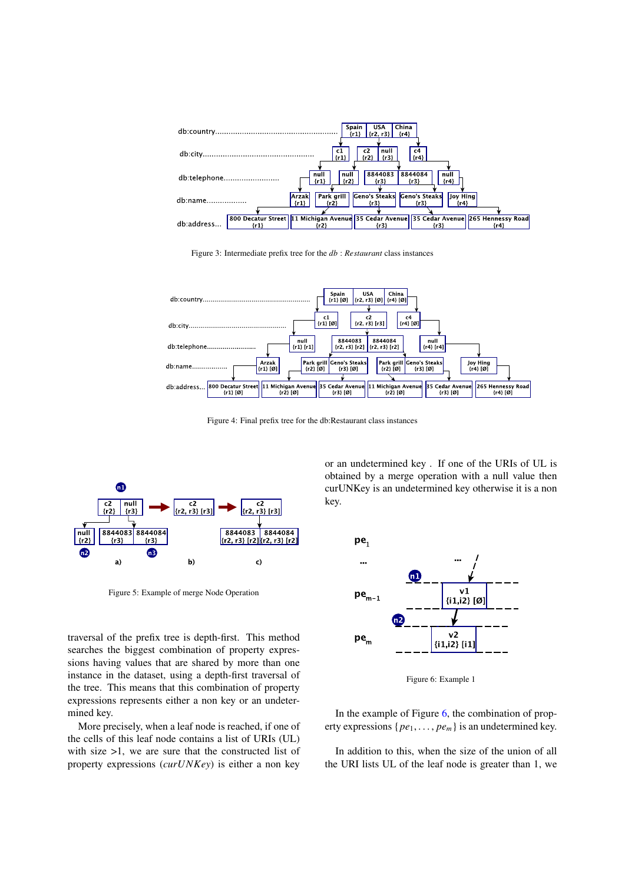<span id="page-7-0"></span>

Figure 3: Intermediate prefix tree for the *db* : *Restaurant* class instances

<span id="page-7-2"></span>

Figure 4: Final prefix tree for the db:Restaurant class instances

<span id="page-7-1"></span>

Figure 5: Example of merge Node Operation

traversal of the prefix tree is depth-first. This method searches the biggest combination of property expressions having values that are shared by more than one instance in the dataset, using a depth-first traversal of the tree. This means that this combination of property expressions represents either a non key or an undetermined key.

More precisely, when a leaf node is reached, if one of the cells of this leaf node contains a list of URIs (UL) with size  $>1$ , we are sure that the constructed list of property expressions (*curUNKey*) is either a non key

or an undetermined key . If one of the URIs of UL is obtained by a merge operation with a null value then curUNKey is an undetermined key otherwise it is a non key.

<span id="page-7-3"></span>

Figure 6: Example 1

In the example of Figure  $6$ , the combination of property expressions {*pe*<sup>1</sup>, . . . , *pem*} is an undetermined key.

In addition to this, when the size of the union of all the URI lists UL of the leaf node is greater than 1, we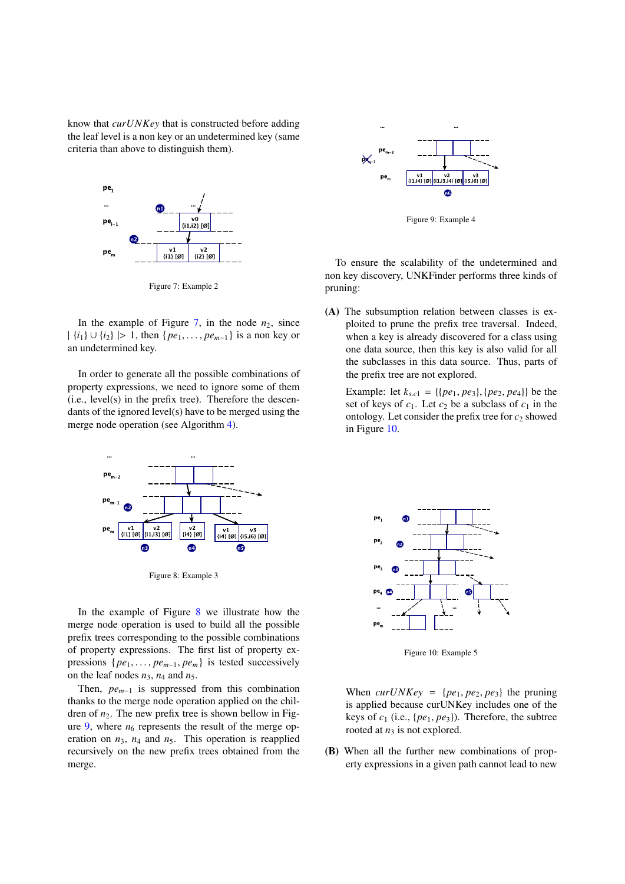know that *curUNKey* that is constructed before adding the leaf level is a non key or an undetermined key (same criteria than above to distinguish them).

<span id="page-8-0"></span>

Figure 7: Example 2

In the example of Figure  $7$ , in the node  $n_2$ , since | {*i*1} ∪ {*i*2} |> 1, then {*pe*1, . . . , *pem*−1} is a non key or an undetermined key.

In order to generate all the possible combinations of property expressions, we need to ignore some of them (i.e., level(s) in the prefix tree). Therefore the descendants of the ignored level(s) have to be merged using the merge node operation (see Algorithm [4\)](#page-6-1).

<span id="page-8-1"></span>

Figure 8: Example 3

In the example of Figure [8](#page-8-1) we illustrate how the merge node operation is used to build all the possible prefix trees corresponding to the possible combinations of property expressions. The first list of property expressions  $\{pe_1, \ldots, pe_{m-1}, pe_m\}$  is tested successively on the leaf nodes  $n_3$ ,  $n_4$  and  $n_5$ .

Then, *pem*−<sup>1</sup> is suppressed from this combination thanks to the merge node operation applied on the children of  $n_2$ . The new prefix tree is shown bellow in Fig-ure [9,](#page-8-2) where  $n_6$  represents the result of the merge operation on  $n_3$ ,  $n_4$  and  $n_5$ . This operation is reapplied recursively on the new prefix trees obtained from the merge.

<span id="page-8-2"></span>

Figure 9: Example 4

To ensure the scalability of the undetermined and non key discovery, UNKFinder performs three kinds of pruning:

(A) The subsumption relation between classes is exploited to prune the prefix tree traversal. Indeed, when a key is already discovered for a class using one data source, then this key is also valid for all the subclasses in this data source. Thus, parts of the prefix tree are not explored.

<span id="page-8-3"></span>Example: let  $k_{s,c1} = \{ \{pe_1, pe_3\}, \{pe_2, pe_4\} \}$  be the set of keys of  $c_1$ . Let  $c_2$  be a subclass of  $c_1$  in the ontology. Let consider the prefix tree for  $c_2$  showed in Figure [10.](#page-8-3)



Figure 10: Example 5

When  $curUNKey = \{pe_1, pe_2, pe_3\}$  the pruning is applied because curUNKey includes one of the keys of  $c_1$  (i.e.,  $\{pe_1, pe_3\}$ ). Therefore, the subtree rooted at  $n_3$  is not explored.

(B) When all the further new combinations of property expressions in a given path cannot lead to new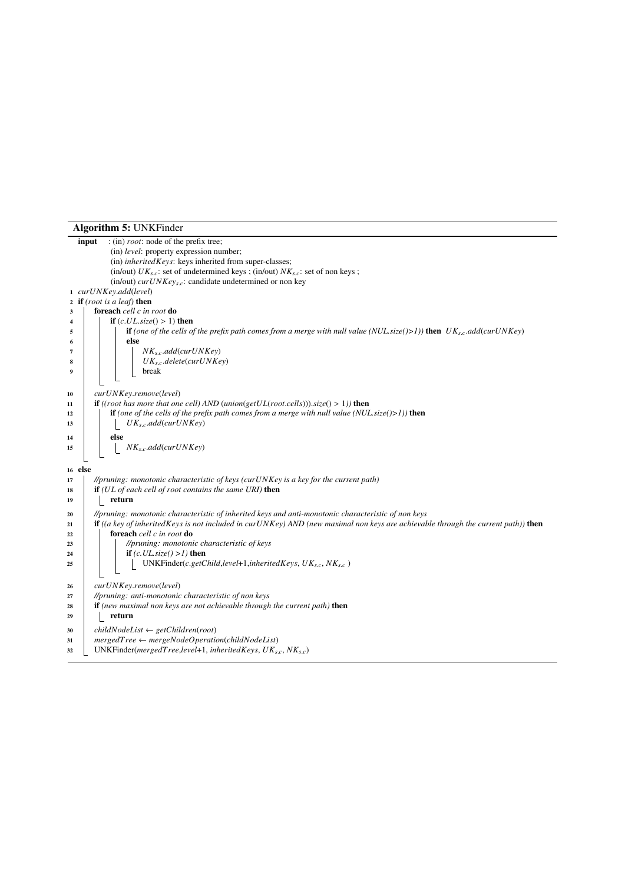Algorithm 5: UNKFinder

<span id="page-9-0"></span>input : (in) *root*: node of the prefix tree; (in) *level*: property expression number; (in) *inheritedKeys*: keys inherited from super-classes; (in/out)  $UK_{s,c}$ : set of undetermined keys; (in/out)  $NK_{s,c}$ : set of non keys; (in/out) *curUNKeys*.*c*: candidate undetermined or non key <sup>1</sup> *curUNKey*.*add*(*level*) <sup>2</sup> if *(root is a leaf)* then <sup>3</sup> foreach *cell c in root* do 4 if  $(c.UL.size() > 1)$  then 5 if *(one of the cells of the prefix path comes from a merge with null value (NUL.size()>1)*) then  $UK_{s,c}.add(curUNKey)$ <br>6 else <sup>7</sup> *NKs*.*c*.*add*(*curUNKey*) 8 *UK<sub>s.c</sub>*.delete(*curUNKey*)<br>break <sup>9</sup> break 10 *curUNKey.remove*(*level*)<br>11 **if** ((*root has more that one* 11 **if** ((root has more that one cell) AND (union( $getUL(root.cells)$ )). $size() > 1$ ) then<br>**if** (one of the cells of the prefix path comes from a merge with null value (NUI if (one of the cells of the prefix path comes from a merge with null value (NUL.size()>1)) then 13 **L**  $UK_{s.c.}$ *add*(*curUNKey*) else <sup>15</sup> *NKs*.*c*.*add*(*curUNKey*) <sup>16</sup> else <sup>17</sup> *//pruning: monotonic characteristic of keys (curUNKey is a key for the current path)* <sup>18</sup> if *(UL of each cell of root contains the same URI)* then 19 return <sup>20</sup> *//pruning: monotonic characteristic of inherited keys and anti-monotonic characteristic of non keys* <sup>21</sup> if *((a key of inheritedKeys is not included in curUNKey) AND (new maximal non keys are achievable through the current path))* then <sup>22</sup> foreach *cell c in root* do <sup>23</sup> *//pruning: monotonic characteristic of keys* 24 **if**  $(c.UL.size() > 1)$  then 25 UNKFinder(*c*.getChild,level+1,*inheritedKeys*,  $UK_{s,c}$ ,  $NK_{s,c}$ ) <sup>26</sup> *curUNKey*.*remove*(*level*) <sup>27</sup> *//pruning: anti-monotonic characteristic of non keys* <sup>28</sup> if *(new maximal non keys are not achievable through the current path)* then 29 **return** <sup>30</sup> *childNodeList* ← *getChildren*(*root*) <sup>31</sup> *mergedT ree* ← *mergeNodeOperation*(*childNodeList*) <sup>32</sup> UNKFinder(*mergedT ree*,*level*+1, *inheritedKeys*, *UKs*.*c*, *NKs*.*c*)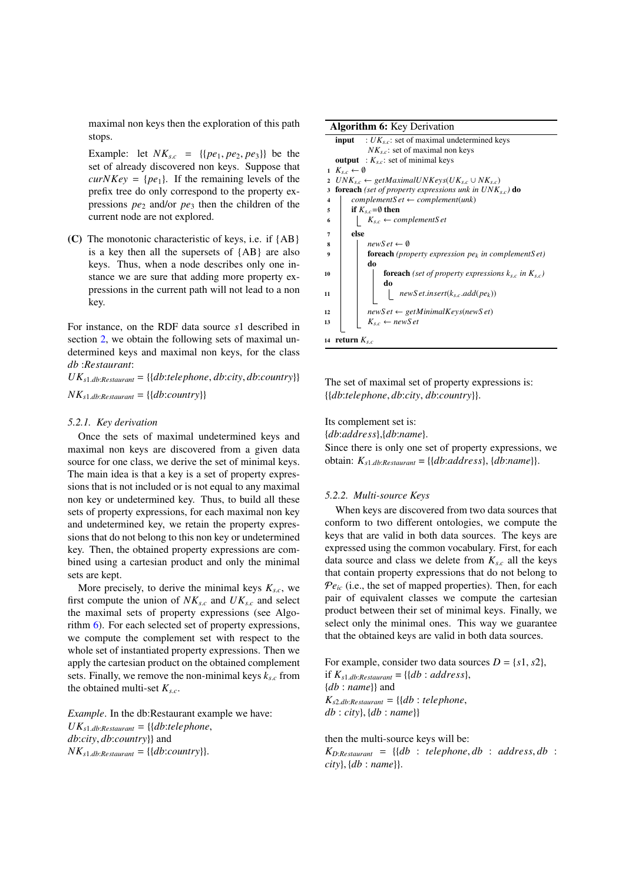maximal non keys then the exploration of this path stops.

Example: let  $NK_{s.c}$  = {{ $pe_1, pe_2, pe_3$ }} be the set of already discovered non keys. Suppose that *curNKey* =  $\{pe_1\}$ . If the remaining levels of the prefix tree do only correspond to the property expressions *pe*<sup>2</sup> and/or *pe*<sup>3</sup> then the children of the current node are not explored.

(C) The monotonic characteristic of keys, i.e. if {AB} is a key then all the supersets of {AB} are also keys. Thus, when a node describes only one instance we are sure that adding more property expressions in the current path will not lead to a non key.

For instance, on the RDF data source *s*1 described in section [2,](#page-1-1) we obtain the following sets of maximal undetermined keys and maximal non keys, for the class *db* :*Restaurant*:

 $UK_{s1 \, db:$ *Restaurant* = {{*db*:*telephone*, *db*:*city*, *db*:*country*}}  $NK_{s1,db:Restaurant} = \{\{db:country\}\}$ 

## *5.2.1. Key derivation*

Once the sets of maximal undetermined keys and maximal non keys are discovered from a given data source for one class, we derive the set of minimal keys. The main idea is that a key is a set of property expressions that is not included or is not equal to any maximal non key or undetermined key. Thus, to build all these sets of property expressions, for each maximal non key and undetermined key, we retain the property expressions that do not belong to this non key or undetermined key. Then, the obtained property expressions are combined using a cartesian product and only the minimal sets are kept.

More precisely, to derive the minimal keys  $K_{s,c}$ , we first compute the union of  $NK_{s,c}$  and  $UK_{s,c}$  and select the maximal sets of property expressions (see Algorithm [6\)](#page-10-0). For each selected set of property expressions, we compute the complement set with respect to the whole set of instantiated property expressions. Then we apply the cartesian product on the obtained complement sets. Finally, we remove the non-minimal keys  $k_{s,c}$  from the obtained multi-set *<sup>K</sup><sup>s</sup>*.*<sup>c</sup>*.

*Example*. In the db:Restaurant example we have:  $UK_{s1.db:Resultant} = \{ \{ db:telephone,$ *db*:*city*, *db*:*country*}} and  $NK_{s1.db:Resultant} = \{\{db:country\}\}.$ 

<span id="page-10-0"></span>

|              | <b>Algorithm 6:</b> Key Derivation |                                                                           |  |  |  |  |
|--------------|------------------------------------|---------------------------------------------------------------------------|--|--|--|--|
|              |                                    | <b>input</b> : $UK_{s,c}$ : set of maximal undetermined keys              |  |  |  |  |
|              |                                    | $NK_{sc}$ : set of maximal non keys                                       |  |  |  |  |
|              |                                    | <b>output</b> : $K_{s,c}$ : set of minimal keys                           |  |  |  |  |
|              | $1 K_{sc} \leftarrow \emptyset$    |                                                                           |  |  |  |  |
| $\mathbf{2}$ |                                    | $UNK_{s,c} \leftarrow getMaximalUNK_{c} (UK_{s,c} \cup NK_{s,c})$         |  |  |  |  |
| 3            |                                    | <b>foreach</b> (set of property expressions unk in $UNK_{sc}$ ) <b>do</b> |  |  |  |  |
| 4            |                                    | $complementSet \leftarrow complement(unk)$                                |  |  |  |  |
| 5            |                                    | if $K_{s,c} = \emptyset$ then                                             |  |  |  |  |
| 6            |                                    | $K_{s,c} \leftarrow complementSet$                                        |  |  |  |  |
| 7            |                                    | else                                                                      |  |  |  |  |
| 8            |                                    | new Set $\leftarrow \emptyset$                                            |  |  |  |  |
| 9            |                                    | <b>foreach</b> (property expression $pe_k$ in complementS et)             |  |  |  |  |
|              |                                    | do                                                                        |  |  |  |  |
| 10           |                                    | <b>foreach</b> (set of property expressions $k_{s,c}$ in $K_{s,c}$ )      |  |  |  |  |
|              |                                    | do                                                                        |  |  |  |  |
| 11           |                                    | newS et.insert( $k_{s.c}$ .add(pe <sub>k</sub> ))                         |  |  |  |  |
| 12           |                                    | $newSet \leftarrow getMinimalKeys(newSet)$                                |  |  |  |  |
| 13           |                                    | $K_{s,c} \leftarrow newSet$                                               |  |  |  |  |
|              |                                    |                                                                           |  |  |  |  |
|              | 14 return $K_{s,c}$                |                                                                           |  |  |  |  |

The set of maximal set of property expressions is: {{*db*:*telephone*, *db*:*city*, *db*:*country*}}.

Its complement set is:

{*db*:*address*},{*db*:*name*}.

Since there is only one set of property expressions, we obtain:  $K_{s1, db:Restaurant} = \{\{db: address\}, \{db: name\}\}.$ 

## *5.2.2. Multi-source Keys*

When keys are discovered from two data sources that conform to two different ontologies, we compute the keys that are valid in both data sources. The keys are expressed using the common vocabulary. First, for each data source and class we delete from  $K_{s,c}$  all the keys that contain property expressions that do not belong to  $Pe<sub>ic</sub>$  (i.e., the set of mapped properties). Then, for each pair of equivalent classes we compute the cartesian product between their set of minimal keys. Finally, we select only the minimal ones. This way we guarantee that the obtained keys are valid in both data sources.

For example, consider two data sources  $D = \{s1, s2\}$ , if  $K_{s1,db:Restaurant} = \{ \{ db : address \} \}$ {*db* : *name*}} and  $K_{s2.db:Res{taurant}} = \{ \{ db : \text{telephone}, \}$ *db* : *city*}, {*db* : *name*}}

then the multi-source keys will be:  $K_{D:Restaurant}$  = {{*db* : *telephone*, *db* : *address*, *db* : *city*}, {*db* : *name*}}.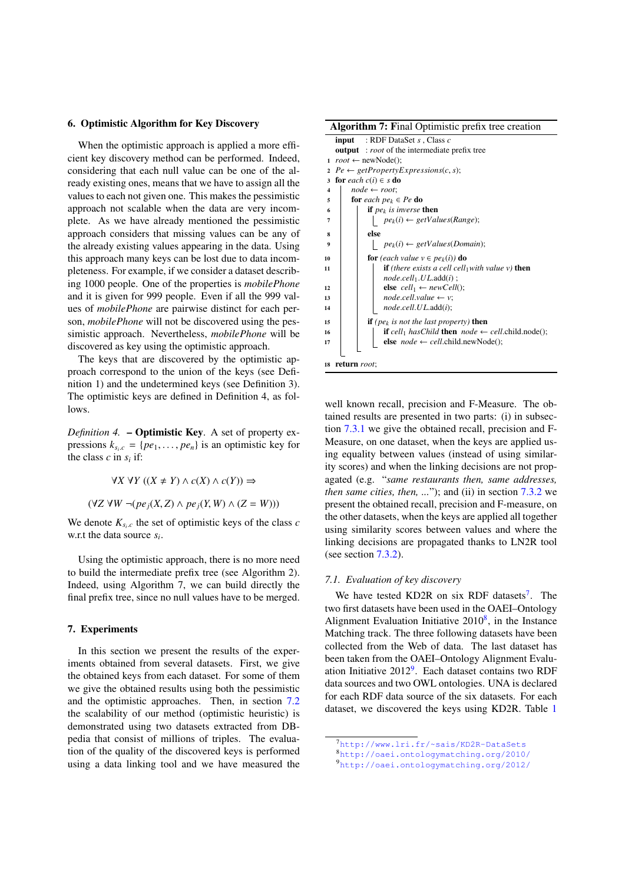#### <span id="page-11-0"></span>6. Optimistic Algorithm for Key Discovery

When the optimistic approach is applied a more efficient key discovery method can be performed. Indeed, considering that each null value can be one of the already existing ones, means that we have to assign all the values to each not given one. This makes the pessimistic approach not scalable when the data are very incomplete. As we have already mentioned the pessimistic approach considers that missing values can be any of the already existing values appearing in the data. Using this approach many keys can be lost due to data incompleteness. For example, if we consider a dataset describing 1000 people. One of the properties is *mobilePhone* and it is given for 999 people. Even if all the 999 values of *mobilePhone* are pairwise distinct for each person, *mobilePhone* will not be discovered using the pessimistic approach. Nevertheless, *mobilePhone* will be discovered as key using the optimistic approach.

The keys that are discovered by the optimistic approach correspond to the union of the keys (see Definition 1) and the undetermined keys (see Definition 3). The optimistic keys are defined in Definition 4, as follows.

*Definition 4.* – Optimistic Key. A set of property expressions  $k_{s_i,c} = \{pe_1, \ldots, pe_n\}$  is an optimistic key for the class c in s. if the class  $c$  in  $s_i$  if:

$$
\forall X \ \forall Y \ ((X \neq Y) \land c(X) \land c(Y)) \Rightarrow
$$
  
(
$$
\forall Z \ \forall W \ \neg (pe_j(X, Z) \land pe_j(Y, W) \land (Z = W)))
$$

We denote  $K_{s_i,c}$  the set of optimistic keys of the class *c* w.r.t the data source *s<sup>i</sup>* .

Using the optimistic approach, there is no more need to build the intermediate prefix tree (see Algorithm 2). Indeed, using Algorithm 7, we can build directly the final prefix tree, since no null values have to be merged.

#### <span id="page-11-1"></span>7. Experiments

In this section we present the results of the experiments obtained from several datasets. First, we give the obtained keys from each dataset. For some of them we give the obtained results using both the pessimistic and the optimistic approaches. Then, in section [7.2](#page-14-0) the scalability of our method (optimistic heuristic) is demonstrated using two datasets extracted from DBpedia that consist of millions of triples. The evaluation of the quality of the discovered keys is performed using a data linking tool and we have measured the

| <b>Algorithm 7: Final Optimistic prefix tree creation</b> |  |  |  |
|-----------------------------------------------------------|--|--|--|
|-----------------------------------------------------------|--|--|--|

<span id="page-11-2"></span>

|                         | : RDF DataSet $s$ , Class $c$<br>input |                                                                         |  |  |  |  |  |
|-------------------------|----------------------------------------|-------------------------------------------------------------------------|--|--|--|--|--|
|                         |                                        | <b>output</b> : <i>root</i> of the intermediate prefix tree             |  |  |  |  |  |
| 1                       |                                        | $root \leftarrow newNode();$                                            |  |  |  |  |  |
| 2                       |                                        | $Pe \leftarrow getProperty Expressions(c, s);$                          |  |  |  |  |  |
| 3                       |                                        | for each $c(i) \in s$ do                                                |  |  |  |  |  |
| $\overline{\mathbf{4}}$ |                                        | $node \leftarrow root;$                                                 |  |  |  |  |  |
| 5                       |                                        | <b>for</b> each $pe_k \in Pe$ <b>do</b>                                 |  |  |  |  |  |
| 6                       |                                        | <b>if</b> $pe_k$ is inverse <b>then</b>                                 |  |  |  |  |  |
| 7                       |                                        | $pe_k(i) \leftarrow getValues(Range);$                                  |  |  |  |  |  |
| 8                       |                                        | else                                                                    |  |  |  |  |  |
| 9                       |                                        | $pe_k(i) \leftarrow getValues(Domain);$                                 |  |  |  |  |  |
| 10                      |                                        | <b>for</b> (each value $v \in pe_k(i)$ ) <b>do</b>                      |  |  |  |  |  |
| 11                      |                                        | <b>if</b> (there exists a cell cell with value v) <b>then</b>           |  |  |  |  |  |
|                         |                                        | $node-cell_1.UL.add(i)$ ;                                               |  |  |  |  |  |
| 12                      |                                        | <b>else</b> cell <sub>1</sub> $\leftarrow$ newCell();                   |  |  |  |  |  |
| 13                      |                                        | $node-cell.value \leftarrow v$ ;                                        |  |  |  |  |  |
| 14                      |                                        | $node-cell.UL.add(i);$                                                  |  |  |  |  |  |
| 15                      |                                        | <b>if</b> (pe <sub>k</sub> is not the last property) <b>then</b>        |  |  |  |  |  |
| 16                      |                                        | if cell <sub>1</sub> hasChild then node $\leftarrow$ cell.child.node(); |  |  |  |  |  |
| 17                      |                                        | else $node \leftarrow cell$ .child.newNode();                           |  |  |  |  |  |
|                         |                                        |                                                                         |  |  |  |  |  |
| 18                      | return root;                           |                                                                         |  |  |  |  |  |

well known recall, precision and F-Measure. The obtained results are presented in two parts: (i) in subsection [7.3.1](#page-15-0) we give the obtained recall, precision and F-Measure, on one dataset, when the keys are applied using equality between values (instead of using similarity scores) and when the linking decisions are not propagated (e.g. "*same restaurants then, same addresses, then same cities, then, ...*"); and (ii) in section [7.3.2](#page-15-1) we present the obtained recall, precision and F-measure, on the other datasets, when the keys are applied all together using similarity scores between values and where the linking decisions are propagated thanks to LN2R tool (see section [7.3.2\)](#page-15-2).

#### *7.1. Evaluation of key discovery*

We have tested KD2R on six RDF datasets<sup>[7](#page-11-3)</sup>. The two first datasets have been used in the OAEI–Ontology Alignment Evaluation Initiative  $2010<sup>8</sup>$  $2010<sup>8</sup>$  $2010<sup>8</sup>$ , in the Instance Matching track. The three following datasets have been collected from the Web of data. The last dataset has been taken from the OAEI–Ontology Alignment Evaluation Initiative  $2012<sup>9</sup>$  $2012<sup>9</sup>$  $2012<sup>9</sup>$ . Each dataset contains two RDF data sources and two OWL ontologies. UNA is declared for each RDF data source of the six datasets. For each dataset, we discovered the keys using KD2R. Table [1](#page-13-0)

<span id="page-11-3"></span><sup>7</sup><http://www.lri.fr/~sais/KD2R-DataSets>

<span id="page-11-4"></span><sup>8</sup><http://oaei.ontologymatching.org/2010/>

<span id="page-11-5"></span><sup>9</sup><http://oaei.ontologymatching.org/2012/>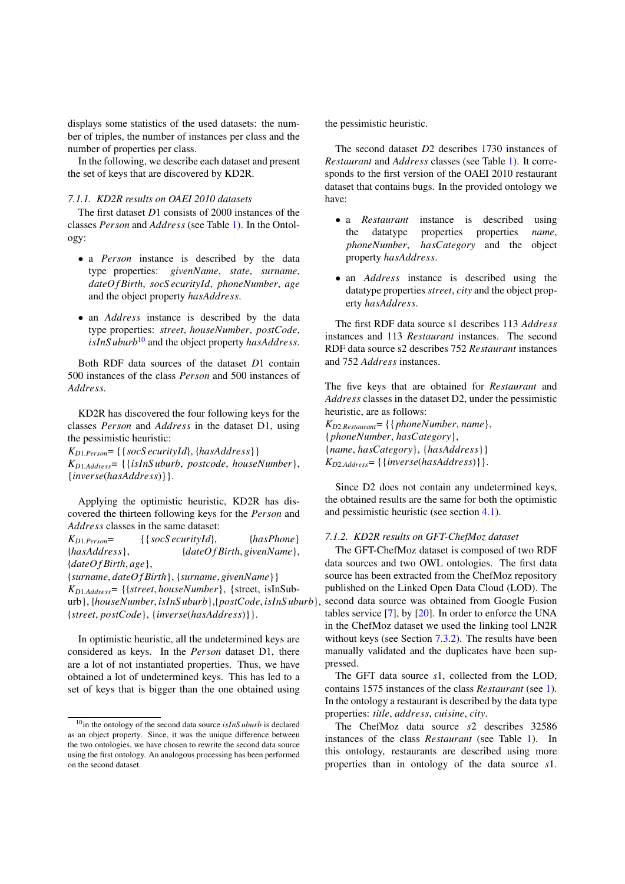displays some statistics of the used datasets: the number of triples, the number of instances per class and the number of properties per class.

In the following, we describe each dataset and present the set of keys that are discovered by KD2R.

### *7.1.1. KD2R results on OAEI 2010 datasets*

The first dataset *D*1 consists of 2000 instances of the classes *Person* and *Address* (see Table [1\)](#page-13-0). In the Ontology:

- a *Person* instance is described by the data type properties: *givenName*, *state*, *surname*, *dateO f Birth*, *socS ecurityId*, *phoneNumber*, *age* and the object property *hasAddress*.
- an *Address* instance is described by the data type properties: *street*, *houseNumber*, *postCode*, *isInS uburb*[10](#page-12-0) and the object property *hasAddress*.

Both RDF data sources of the dataset *D*1 contain 500 instances of the class *Person* and 500 instances of *Address*.

KD2R has discovered the four following keys for the classes *Person* and *Address* in the dataset D1, using the pessimistic heuristic:

*<sup>K</sup><sup>D</sup>*1.*Person*= {{*socS ecurityId*}, {*hasAddress*}} *<sup>K</sup><sup>D</sup>*1.*Address*= {{*isInS uburb*, *postcode*, *houseNumber*}, {*inverse*(*hasAddress*)}}.

Applying the optimistic heuristic, KD2R has discovered the thirteen following keys for the *Person* and *Address* classes in the same dataset:

*<sup>K</sup><sup>D</sup>*1.*Person*= {{*socS ecurityId*}, {*hasPhone*} {*hasAddress*}, {*dateO f Birth*, *givenName*}, {*dateO f Birth*, *age*},

{*surname*, *dateO f Birth*}, {*surname*, *givenName*}}

*<sup>K</sup><sup>D</sup>*1.*Address*= {{*street*, *houseNumber*}, {street, isInSuburb}, {*houseNumber*, *isInS uburb*},{*postCode*, *isInS uburb*}, {*street*, *postCode*}, {*inverse*(*hasAddress*)}}.

In optimistic heuristic, all the undetermined keys are considered as keys. In the *Person* dataset D1, there are a lot of not instantiated properties. Thus, we have obtained a lot of undetermined keys. This has led to a set of keys that is bigger than the one obtained using

the pessimistic heuristic.

The second dataset *D*2 describes 1730 instances of *Restaurant* and *Address* classes (see Table [1\)](#page-13-0). It corresponds to the first version of the OAEI 2010 restaurant dataset that contains bugs. In the provided ontology we have:

- a *Restaurant* instance is described using the datatype properties properties *name*, *phoneNumber*, *hasCategory* and the object property *hasAddress*.
- an *Address* instance is described using the datatype properties *street*, *city* and the object property *hasAddress*.

The first RDF data source s1 describes 113 *Address* instances and 113 *Restaurant* instances. The second RDF data source s2 describes 752 *Restaurant* instances and 752 *Address* instances.

The five keys that are obtained for *Restaurant* and *Address* classes in the dataset D2, under the pessimistic heuristic, are as follows:

*<sup>K</sup><sup>D</sup>*2.*Restaurant*= {{*phoneNumber*, *name*}, {*phoneNumber*, *hasCategory*}, {*name*, *hasCategory*}, {*hasAddress*}} *<sup>K</sup><sup>D</sup>*2.*Address*= {{*inverse*(*hasAddress*)}}.

Since D2 does not contain any undetermined keys, the obtained results are the same for both the optimistic and pessimistic heuristic (see section [4.1\)](#page-3-1).

#### *7.1.2. KD2R results on GFT-ChefMoz dataset*

The GFT-ChefMoz dataset is composed of two RDF data sources and two OWL ontologies. The first data source has been extracted from the ChefMoz repository published on the Linked Open Data Cloud (LOD). The second data source was obtained from Google Fusion tables service [\[7\]](#page-20-8), by [\[20\]](#page-21-13). In order to enforce the UNA in the ChefMoz dataset we used the linking tool LN2R without keys (see Section [7.3.2\)](#page-15-2). The results have been manually validated and the duplicates have been suppressed.

The GFT data source *s*1, collected from the LOD, contains 1575 instances of the class *Restaurant* (see [1\)](#page-13-0). In the ontology a restaurant is described by the data type properties: *title*, *address*, *cuisine*, *city*.

The ChefMoz data source *s*2 describes 32586 instances of the class *Restaurant* (see Table [1\)](#page-13-0). In this ontology, restaurants are described using more properties than in ontology of the data source *s*1.

<span id="page-12-0"></span><sup>10</sup>in the ontology of the second data source *isInS uburb* is declared as an object property. Since, it was the unique difference between the two ontologies, we have chosen to rewrite the second data source using the first ontology. An analogous processing has been performed on the second dataset.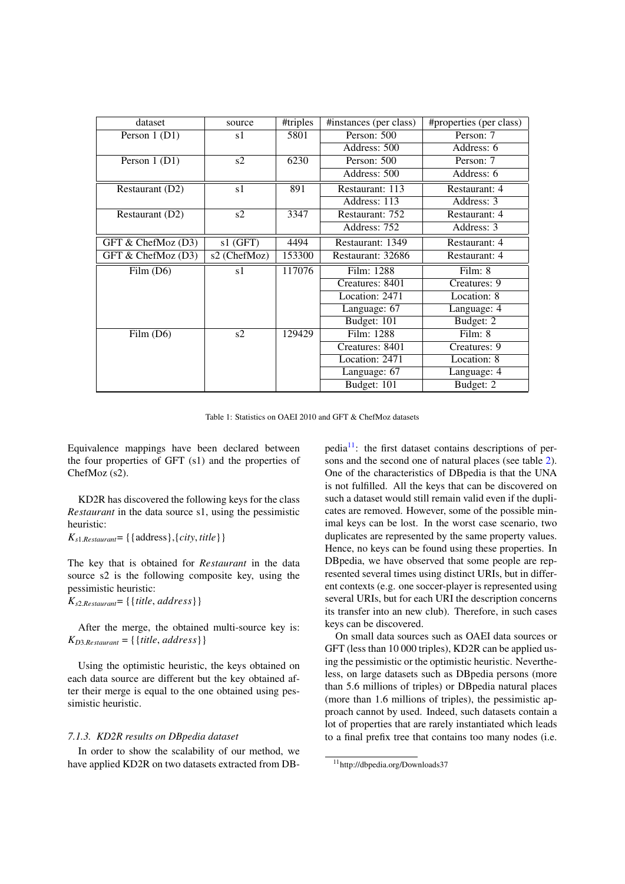<span id="page-13-0"></span>

| dataset              | source       | #triples | #instances (per class) | #properties (per class) |
|----------------------|--------------|----------|------------------------|-------------------------|
| Person $1(D1)$       | s1           | 5801     | Person: 500            | Person: 7               |
|                      |              |          | Address: 500           | Address: 6              |
| Person 1 (D1)        | s2           | 6230     | Person: 500            | Person: 7               |
|                      |              |          | Address: 500           | Address: 6              |
| Restaurant (D2)      | s1           | 891      | Restaurant: 113        | Restaurant: 4           |
|                      |              |          | Address: 113           | Address: 3              |
| Restaurant (D2)      | s2           | 3347     | Restaurant: 752        | Restaurant: 4           |
|                      |              |          | Address: 752           | Address: 3              |
| GFT & ChefMoz (D3)   | s1 (GFT)     | 4494     | Restaurant: 1349       | Restaurant: 4           |
| GFT $&$ ChefMoz (D3) | s2 (ChefMoz) | 153300   | Restaurant: 32686      | Restaurant: 4           |
| Film $(D6)$          | s1           | 117076   | Film: 1288             | Film: 8                 |
|                      |              |          | Creatures: 8401        | Creatures: 9            |
|                      |              |          | Location: 2471         | Location: 8             |
|                      |              |          | Language: 67           | Language: 4             |
|                      |              |          | Budget: 101            | Budget: 2               |
| Film $(D6)$          | s2           | 129429   | Film: 1288             | Film: 8                 |
|                      |              |          | Creatures: 8401        | Creatures: 9            |
|                      |              |          | Location: 2471         | Location: 8             |
|                      |              |          | Language: 67           | Language: 4             |
|                      |              |          | Budget: 101            | Budget: 2               |

Table 1: Statistics on OAEI 2010 and GFT & ChefMoz datasets

Equivalence mappings have been declared between the four properties of GFT (s1) and the properties of ChefMoz (s2).

KD2R has discovered the following keys for the class *Restaurant* in the data source s1, using the pessimistic heuristic:

 $K_{s1,Restaurant}$  {{address}, {*city*, *title*}}

The key that is obtained for *Restaurant* in the data source s2 is the following composite key, using the pessimistic heuristic:

 $K_{s2.$ *Restaurant*= { {*title*, *address* } }

After the merge, the obtained multi-source key is:  $K_{D3.Restaurant} = \{ \{ title, address \} \}$ 

Using the optimistic heuristic, the keys obtained on each data source are different but the key obtained after their merge is equal to the one obtained using pessimistic heuristic.

## *7.1.3. KD2R results on DBpedia dataset*

In order to show the scalability of our method, we have applied KD2R on two datasets extracted from DB-

pedia $11$ : the first dataset contains descriptions of persons and the second one of natural places (see table [2\)](#page-15-3). One of the characteristics of DBpedia is that the UNA is not fulfilled. All the keys that can be discovered on such a dataset would still remain valid even if the duplicates are removed. However, some of the possible minimal keys can be lost. In the worst case scenario, two duplicates are represented by the same property values. Hence, no keys can be found using these properties. In DBpedia, we have observed that some people are represented several times using distinct URIs, but in different contexts (e.g. one soccer-player is represented using several URIs, but for each URI the description concerns its transfer into an new club). Therefore, in such cases keys can be discovered.

On small data sources such as OAEI data sources or GFT (less than 10 000 triples), KD2R can be applied using the pessimistic or the optimistic heuristic. Nevertheless, on large datasets such as DBpedia persons (more than 5.6 millions of triples) or DBpedia natural places (more than 1.6 millions of triples), the pessimistic approach cannot by used. Indeed, such datasets contain a lot of properties that are rarely instantiated which leads to a final prefix tree that contains too many nodes (i.e.

<span id="page-13-1"></span><sup>11</sup>http://dbpedia.org/Downloads37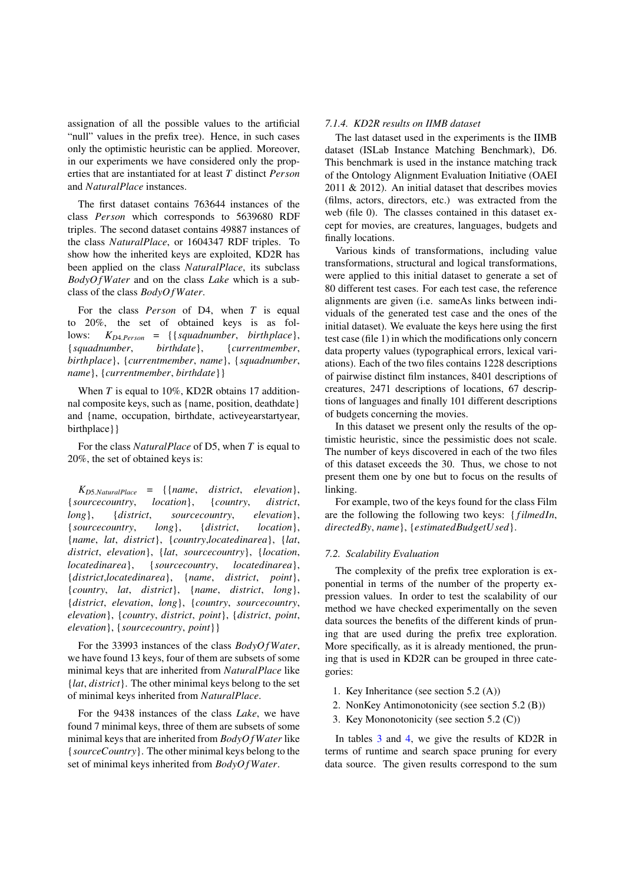assignation of all the possible values to the artificial "null" values in the prefix tree). Hence, in such cases only the optimistic heuristic can be applied. Moreover, in our experiments we have considered only the properties that are instantiated for at least *T* distinct *Person* and *NaturalPlace* instances.

The first dataset contains 763644 instances of the class *Person* which corresponds to 5639680 RDF triples. The second dataset contains 49887 instances of the class *NaturalPlace*, or 1604347 RDF triples. To show how the inherited keys are exploited, KD2R has been applied on the class *NaturalPlace*, its subclass *BodyO f Water* and on the class *Lake* which is a subclass of the class *BodyO f Water*.

For the class *Person* of D4, when *T* is equal to 20%, the set of obtained keys is as follows: *<sup>K</sup>D*4.*Person* = {{*squadnumber*, *birthplace*}, {*squadnumber*, *birthdate*}, {*currentmember*, *birthplace*}, {*currentmember*, *name*}, {*squadnumber*, *name*}, {*currentmember*, *birthdate*}}

When *T* is equal to 10%, KD2R obtains 17 additionnal composite keys, such as {name, position, deathdate} and {name, occupation, birthdate, activeyearstartyear, birthplace}}

For the class *NaturalPlace* of D5, when *T* is equal to 20%, the set of obtained keys is:

 $K_{D5. Natural Place}$  = {{*name*, *district*, *elevation*},<br>*ourcecountry*, *location*}, {*country*, *district*, {*sourcecountry*, *location*}, {*country*, *district*, *long*}, {*district*, *sourcecountry*, *elevation*}, {*sourcecountry*, *long*}, {*district*, *location*}, {*name*, *lat*, *district*}, {*country*,*locatedinarea*}, {*lat*, *district*, *elevation*}, {*lat*, *sourcecountry*}, {*location*, *locatedinarea*}, {*sourcecountry*, *locatedinarea*}, {*district*,*locatedinarea*}, {*name*, *district*, *point*}, {*country*, *lat*, *district*}, {*name*, *district*, *long*}, {*district*, *elevation*, *long*}, {*country*, *sourcecountry*, *elevation*}, {*country*, *district*, *point*}, {*district*, *point*, *elevation*}, {*sourcecountry*, *point*}}

For the 33993 instances of the class *BodyO f Water*, we have found 13 keys, four of them are subsets of some minimal keys that are inherited from *NaturalPlace* like {*lat*, *district*}. The other minimal keys belong to the set of minimal keys inherited from *NaturalPlace*.

For the 9438 instances of the class *Lake*, we have found 7 minimal keys, three of them are subsets of some minimal keys that are inherited from *BodyO f Water* like {*sourceCountry*}. The other minimal keys belong to the set of minimal keys inherited from *BodyO f Water*.

## *7.1.4. KD2R results on IIMB dataset*

The last dataset used in the experiments is the IIMB dataset (ISLab Instance Matching Benchmark), D6. This benchmark is used in the instance matching track of the Ontology Alignment Evaluation Initiative (OAEI 2011 & 2012). An initial dataset that describes movies (films, actors, directors, etc.) was extracted from the web (file 0). The classes contained in this dataset except for movies, are creatures, languages, budgets and finally locations.

Various kinds of transformations, including value transformations, structural and logical transformations, were applied to this initial dataset to generate a set of 80 different test cases. For each test case, the reference alignments are given (i.e. sameAs links between individuals of the generated test case and the ones of the initial dataset). We evaluate the keys here using the first test case (file 1) in which the modifications only concern data property values (typographical errors, lexical variations). Each of the two files contains 1228 descriptions of pairwise distinct film instances, 8401 descriptions of creatures, 2471 descriptions of locations, 67 descriptions of languages and finally 101 different descriptions of budgets concerning the movies.

In this dataset we present only the results of the optimistic heuristic, since the pessimistic does not scale. The number of keys discovered in each of the two files of this dataset exceeds the 30. Thus, we chose to not present them one by one but to focus on the results of linking.

For example, two of the keys found for the class Film are the following the following two keys: { *f ilmedIn*, *directedBy*, *name*}, {*estimatedBudgetU sed*}.

#### <span id="page-14-0"></span>*7.2. Scalability Evaluation*

The complexity of the prefix tree exploration is exponential in terms of the number of the property expression values. In order to test the scalability of our method we have checked experimentally on the seven data sources the benefits of the different kinds of pruning that are used during the prefix tree exploration. More specifically, as it is already mentioned, the pruning that is used in KD2R can be grouped in three categories:

- 1. Key Inheritance (see section 5.2 (A))
- 2. NonKey Antimonotonicity (see section 5.2 (B))
- 3. Key Mononotonicity (see section 5.2 (C))

In tables [3](#page-16-0) and [4,](#page-16-1) we give the results of KD2R in terms of runtime and search space pruning for every data source. The given results correspond to the sum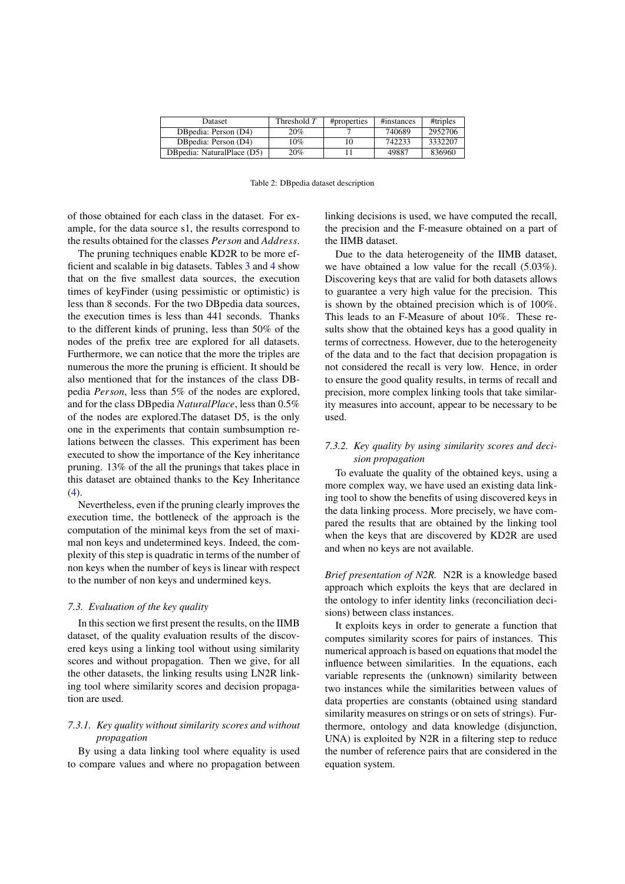<span id="page-15-3"></span>

| Dataset                      | Threshold $T$ | #properties | #instances | #triples |
|------------------------------|---------------|-------------|------------|----------|
| DB pedia: Person (D4)        | 20%           |             | 740689     | 2952706  |
| DB pedia: Person (D4)        | 10%           | 10          | 742233     | 3332207  |
| DB pedia: Natural Place (D5) | 20%           |             | 49887      | 836960   |

Table 2: DBpedia dataset description

of those obtained for each class in the dataset. For example, for the data source s1, the results correspond to the results obtained for the classes *Person* and *Address*.

The pruning techniques enable KD2R to be more efficient and scalable in big datasets. Tables [3](#page-16-0) and [4](#page-16-1) show that on the five smallest data sources, the execution times of keyFinder (using pessimistic or optimistic) is less than 8 seconds. For the two DBpedia data sources, the execution times is less than 441 seconds. Thanks to the different kinds of pruning, less than 50% of the nodes of the prefix tree are explored for all datasets. Furthermore, we can notice that the more the triples are numerous the more the pruning is efficient. It should be also mentioned that for the instances of the class DBpedia *Person*, less than 5% of the nodes are explored, and for the class DBpedia *NaturalPlace*, less than 0.5% of the nodes are explored.The dataset D5, is the only one in the experiments that contain sumbsumption relations between the classes. This experiment has been executed to show the importance of the Key inheritance pruning. 13% of the all the prunings that takes place in this dataset are obtained thanks to the Key Inheritance  $(4).$  $(4).$ 

Nevertheless, even if the pruning clearly improves the execution time, the bottleneck of the approach is the computation of the minimal keys from the set of maximal non keys and undetermined keys. Indeed, the complexity of this step is quadratic in terms of the number of non keys when the number of keys is linear with respect to the number of non keys and undermined keys.

## *7.3. Evaluation of the key quality*

In this section we first present the results, on the IIMB dataset, of the quality evaluation results of the discovered keys using a linking tool without using similarity scores and without propagation. Then we give, for all the other datasets, the linking results using LN2R linking tool where similarity scores and decision propagation are used.

# <span id="page-15-0"></span>*7.3.1. Key quality without similarity scores and without propagation*

By using a data linking tool where equality is used to compare values and where no propagation between linking decisions is used, we have computed the recall, the precision and the F-measure obtained on a part of the IIMB dataset.

Due to the data heterogeneity of the IIMB dataset, we have obtained a low value for the recall (5.03%). Discovering keys that are valid for both datasets allows to guarantee a very high value for the precision. This is shown by the obtained precision which is of 100%. This leads to an F-Measure of about 10%. These results show that the obtained keys has a good quality in terms of correctness. However, due to the heterogeneity of the data and to the fact that decision propagation is not considered the recall is very low. Hence, in order to ensure the good quality results, in terms of recall and precision, more complex linking tools that take similarity measures into account, appear to be necessary to be used.

# <span id="page-15-1"></span>*7.3.2. Key quality by using similarity scores and decision propagation*

To evaluate the quality of the obtained keys, using a more complex way, we have used an existing data linking tool to show the benefits of using discovered keys in the data linking process. More precisely, we have compared the results that are obtained by the linking tool when the keys that are discovered by KD2R are used and when no keys are not available.

<span id="page-15-2"></span>*Brief presentation of N2R.* N2R is a knowledge based approach which exploits the keys that are declared in the ontology to infer identity links (reconciliation decisions) between class instances.

It exploits keys in order to generate a function that computes similarity scores for pairs of instances. This numerical approach is based on equations that model the influence between similarities. In the equations, each variable represents the (unknown) similarity between two instances while the similarities between values of data properties are constants (obtained using standard similarity measures on strings or on sets of strings). Furthermore, ontology and data knowledge (disjunction, UNA) is exploited by N2R in a filtering step to reduce the number of reference pairs that are considered in the equation system.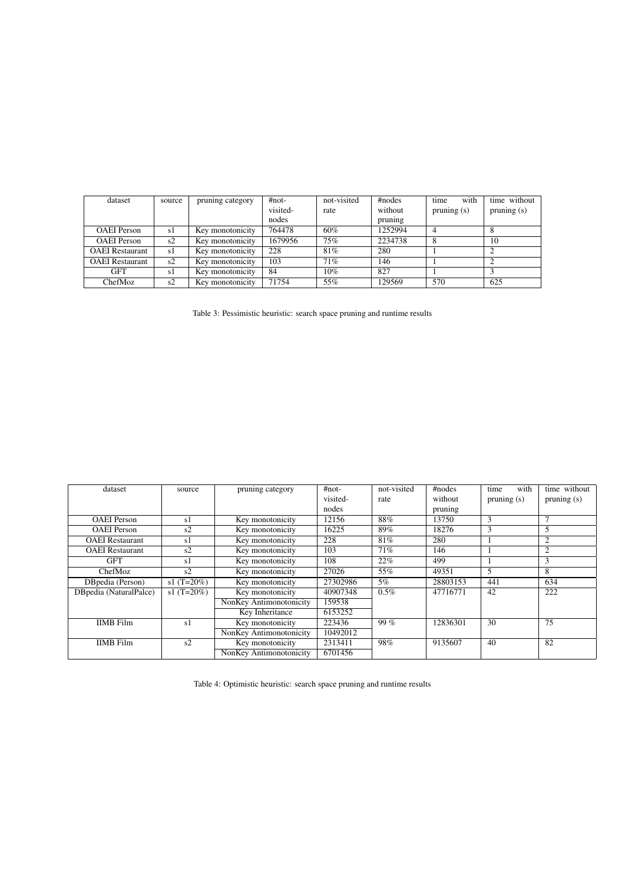<span id="page-16-0"></span>

| dataset                | source | pruning category | $\#$ not- | not-visited | #nodes  | with<br>time  | time without  |
|------------------------|--------|------------------|-----------|-------------|---------|---------------|---------------|
|                        |        |                  | visited-  | rate        | without | pruning $(s)$ | pruning $(s)$ |
|                        |        |                  | nodes     |             | pruning |               |               |
| <b>OAEI</b> Person     | s1     | Key monotonicity | 764478    | 60%         | 1252994 |               |               |
| <b>OAEI</b> Person     | s2     | Key monotonicity | 1679956   | 75%         | 2234738 |               | 10            |
| <b>OAEI</b> Restaurant | s1     | Key monotonicity | 228       | 81%         | 280     |               |               |
| <b>OAEI</b> Restaurant | s2     | Key monotonicity | 103       | 71%         | 146     |               |               |
| <b>GFT</b>             | s1     | Key monotonicity | 84        | 10%         | 827     |               |               |
| ChefMoz                | s2     | Key monotonicity | 71754     | 55%         | 129569  | 570           | 625           |

Table 3: Pessimistic heuristic: search space pruning and runtime results

<span id="page-16-1"></span>

| dataset<br>source                       |    | pruning category        | $#not-$  | not-visited | #nodes   | with<br>time  | time without   |
|-----------------------------------------|----|-------------------------|----------|-------------|----------|---------------|----------------|
|                                         |    |                         | visited- | rate        | without  | pruning $(s)$ | pruning $(s)$  |
|                                         |    |                         | nodes    |             | pruning  |               |                |
| <b>OAEI</b> Person                      | s1 | Key monotonicity        | 12156    | 88%         | 13750    | 3             | $\tau$         |
| <b>OAEI</b> Person                      | s2 | Key monotonicity        | 16225    | 89%         | 18276    | 3             | 5              |
| <b>OAEI</b> Restaurant                  | s1 | Key monotonicity        | 228      | 81%         | 280      |               | 2              |
| <b>OAEI</b> Restaurant                  | s2 | Key monotonicity        | 103      | 71%         | 146      |               | $\overline{2}$ |
| <b>GFT</b><br>s1                        |    | Key monotonicity        | 108      | 22%         | 499      |               | 3              |
| ChefMoz                                 | s2 | Key monotonicity        | 27026    | 55%         | 49351    | 5.            | 8              |
| DB pedia (Person)<br>s1 $(T=20\%)$      |    | Key monotonicity        | 27302986 | $5\%$       | 28803153 | 441           | 634            |
| DBpedia (NaturalPalce)<br>s1 $(T=20\%)$ |    | Key monotonicity        | 40907348 | 0.5%        | 47716771 | 42            | 222            |
|                                         |    | NonKey Antimonotonicity | 159538   |             |          |               |                |
|                                         |    | Key Inheritance         | 6153252  |             |          |               |                |
| <b>IIMB</b> Film<br>s1                  |    | Key monotonicity        | 223436   | 99 $%$      | 12836301 | 30            | 75             |
|                                         |    | NonKey Antimonotonicity | 10492012 |             |          |               |                |
| <b>IIMB</b> Film<br>s2                  |    | Key monotonicity        | 2313411  | 98%         | 9135607  | 40            | 82             |
|                                         |    | NonKey Antimonotonicity | 6701456  |             |          |               |                |

Table 4: Optimistic heuristic: search space pruning and runtime results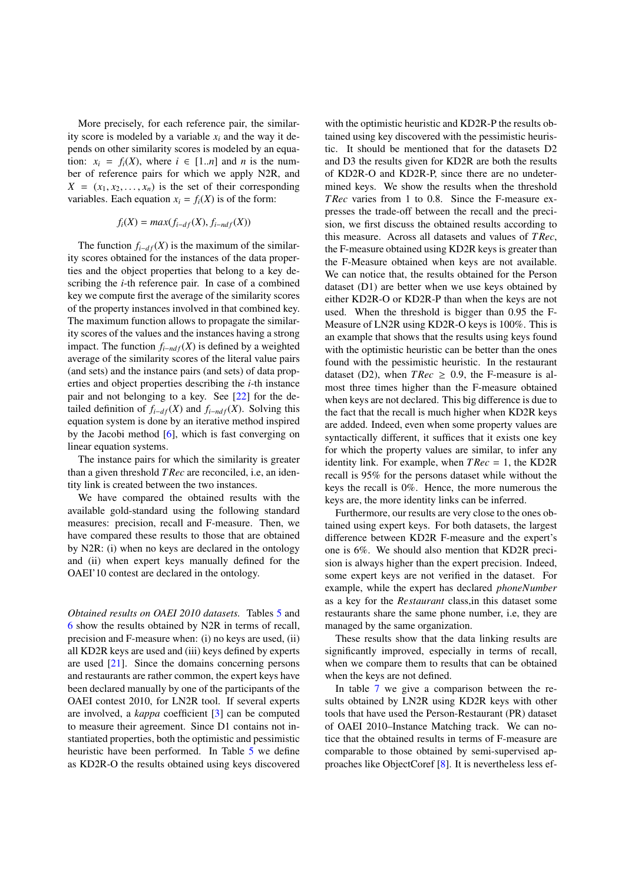More precisely, for each reference pair, the similarity score is modeled by a variable  $x_i$  and the way it depends on other similarity scores is modeled by an equation:  $x_i = f_i(X)$ , where  $i \in [1..n]$  and *n* is the number of reference pairs for which we apply N2R, and  $X = (x_1, x_2, \ldots, x_n)$  is the set of their corresponding variables. Each equation  $x_i = f_i(X)$  is of the form:

$$
f_i(X) = max(f_{i-df}(X), f_{i-ndf}(X))
$$

The function  $f_{i-df}(X)$  is the maximum of the similarity scores obtained for the instances of the data properties and the object properties that belong to a key describing the *i*-th reference pair. In case of a combined key we compute first the average of the similarity scores of the property instances involved in that combined key. The maximum function allows to propagate the similarity scores of the values and the instances having a strong impact. The function *fi*−*nd f*(*X*) is defined by a weighted average of the similarity scores of the literal value pairs (and sets) and the instance pairs (and sets) of data properties and object properties describing the *i*-th instance pair and not belonging to a key. See [\[22\]](#page-21-5) for the detailed definition of  $f_{i-df}(X)$  and  $f_{i-ndf}(X)$ . Solving this equation system is done by an iterative method inspired by the Jacobi method [\[6\]](#page-20-9), which is fast converging on linear equation systems.

The instance pairs for which the similarity is greater than a given threshold *TRec* are reconciled, i.e, an identity link is created between the two instances.

We have compared the obtained results with the available gold-standard using the following standard measures: precision, recall and F-measure. Then, we have compared these results to those that are obtained by N2R: (i) when no keys are declared in the ontology and (ii) when expert keys manually defined for the OAEI'10 contest are declared in the ontology.

*Obtained results on OAEI 2010 datasets.* Tables [5](#page-18-1) and [6](#page-18-2) show the results obtained by N2R in terms of recall, precision and F-measure when: (i) no keys are used, (ii) all KD2R keys are used and (iii) keys defined by experts are used [\[21\]](#page-21-14). Since the domains concerning persons and restaurants are rather common, the expert keys have been declared manually by one of the participants of the OAEI contest 2010, for LN2R tool. If several experts are involved, a *kappa* coefficient [\[3\]](#page-20-10) can be computed to measure their agreement. Since D1 contains not instantiated properties, both the optimistic and pessimistic heuristic have been performed. In Table [5](#page-18-1) we define as KD2R-O the results obtained using keys discovered with the optimistic heuristic and KD2R-P the results obtained using key discovered with the pessimistic heuristic. It should be mentioned that for the datasets D2 and D3 the results given for KD2R are both the results of KD2R-O and KD2R-P, since there are no undetermined keys. We show the results when the threshold *TRec* varies from 1 to 0.8. Since the F-measure expresses the trade-off between the recall and the precision, we first discuss the obtained results according to this measure. Across all datasets and values of *TRec*, the F-measure obtained using KD2R keys is greater than the F-Measure obtained when keys are not available. We can notice that, the results obtained for the Person dataset (D1) are better when we use keys obtained by either KD2R-O or KD2R-P than when the keys are not used. When the threshold is bigger than 0.95 the F-Measure of LN2R using KD2R-O keys is 100%. This is an example that shows that the results using keys found with the optimistic heuristic can be better than the ones found with the pessimistic heuristic. In the restaurant dataset (D2), when  $TRec \ge 0.9$ , the F-measure is almost three times higher than the F-measure obtained when keys are not declared. This big difference is due to the fact that the recall is much higher when KD2R keys are added. Indeed, even when some property values are syntactically different, it suffices that it exists one key for which the property values are similar, to infer any identity link. For example, when *TRec* = 1, the KD2R recall is 95% for the persons dataset while without the keys the recall is 0%. Hence, the more numerous the keys are, the more identity links can be inferred.

Furthermore, our results are very close to the ones obtained using expert keys. For both datasets, the largest difference between KD2R F-measure and the expert's one is 6%. We should also mention that KD2R precision is always higher than the expert precision. Indeed, some expert keys are not verified in the dataset. For example, while the expert has declared *phoneNumber* as a key for the *Restaurant* class,in this dataset some restaurants share the same phone number, i.e, they are managed by the same organization.

These results show that the data linking results are significantly improved, especially in terms of recall, when we compare them to results that can be obtained when the keys are not defined.

In table [7](#page-19-0) we give a comparison between the results obtained by LN2R using KD2R keys with other tools that have used the Person-Restaurant (PR) dataset of OAEI 2010–Instance Matching track. We can notice that the obtained results in terms of F-measure are comparable to those obtained by semi-supervised approaches like ObjectCoref [\[8\]](#page-20-5). It is nevertheless less ef-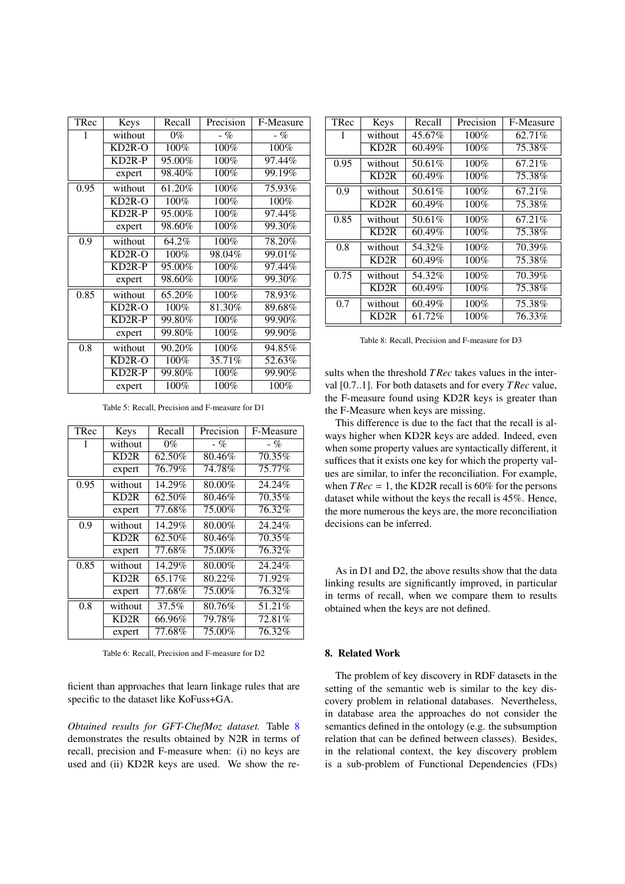<span id="page-18-1"></span>

| TRec             | Keys     | Recall | Precision | F-Measure |
|------------------|----------|--------|-----------|-----------|
| 1                | without  | $0\%$  | - %       | - %       |
|                  | KD2R-O   | 100%   | 100%      | 100%      |
|                  | $KD2R-P$ | 95.00% | 100%      | 97.44%    |
|                  | expert   | 98.40% | 100%      | 99.19%    |
| 0.95             | without  | 61.20% | 100%      | 75.93%    |
|                  | KD2R-O   | 100%   | 100%      | 100%      |
|                  | KD2R-P   | 95.00% | 100%      | 97.44%    |
|                  | expert   | 98.60% | 100%      | 99.30%    |
| $\overline{0.9}$ | without  | 64.2%  | 100%      | 78.20%    |
|                  | KD2R-O   | 100%   | 98.04%    | 99.01%    |
|                  | KD2R-P   | 95.00% | 100%      | 97.44%    |
|                  | expert   | 98.60% | 100%      | 99.30%    |
| 0.85             | without  | 65.20% | 100%      | 78.93%    |
|                  | $KD2R-O$ | 100%   | 81.30%    | 89.68%    |
|                  | KD2R-P   | 99.80% | 100%      | 99.90%    |
|                  | expert   | 99.80% | 100%      | 99.90%    |
| 0.8              | without  | 90.20% | 100%      | 94.85%    |
|                  | KD2R-O   | 100%   | 35.71%    | 52.63%    |
|                  | KD2R-P   | 99.80% | 100%      | 99.90%    |
|                  | expert   | 100%   | 100%      | 100%      |

Table 5: Recall, Precision and F-measure for D1

<span id="page-18-2"></span>

| <b>TRec</b> | Keys              | Recall               | Precision | F-Measure |  |
|-------------|-------------------|----------------------|-----------|-----------|--|
| 1           | without           | $0\%$                | - %       | - %       |  |
|             | KD <sub>2</sub> R | 62.50%               | 80.46%    | 70.35%    |  |
|             | expert            | 76.79%               | 74.78%    | 75.77%    |  |
| 0.95        | without           | 14.29%               | 80.00%    | 24.24%    |  |
|             | KD <sub>2</sub> R | 62.50%               | 80.46%    | 70.35%    |  |
|             | expert            | 77.68%               | 75.00%    | 76.32%    |  |
| 0.9         | without           | 14.29%               | 80.00%    | 24.24%    |  |
|             | KD <sub>2</sub> R | 62.50%               | 80.46%    | 70.35%    |  |
|             | expert            | 77.68%               | 75.00%    | 76.32%    |  |
| 0.85        | without           | 14.29%               | 80.00%    | 24.24%    |  |
|             | KD <sub>2</sub> R | 65.17%               | 80.22%    | 71.92%    |  |
|             | expert            | $77.68\overline{\%}$ | 75.00%    | 76.32%    |  |
| 0.8         | without           | 37.5%                | 80.76%    | 51.21%    |  |
|             | KD2R              | 66.96%               | 79.78%    | 72.81%    |  |
|             | expert            | 77.68%               | 75.00%    | 76.32%    |  |

Table 6: Recall, Precision and F-measure for D2

ficient than approaches that learn linkage rules that are specific to the dataset like KoFuss+GA.

*Obtained results for GFT-ChefMoz dataset.* Table [8](#page-18-3) demonstrates the results obtained by N2R in terms of recall, precision and F-measure when: (i) no keys are used and (ii) KD2R keys are used. We show the re-

<span id="page-18-3"></span>

| <b>TRec</b> | Keys              | Recall | Precision | F-Measure |
|-------------|-------------------|--------|-----------|-----------|
| 1           | without           | 45.67% | 100%      | 62.71%    |
|             | KD <sub>2</sub> R | 60.49% | 100%      | 75.38%    |
| 0.95        | without           | 50.61% | 100%      | 67.21%    |
|             | KD2R              | 60.49% | 100%      | 75.38%    |
| 0.9         | without           | 50.61% | 100%      | 67.21%    |
|             | KD2R              | 60.49% | 100%      | 75.38%    |
| 0.85        | without           | 50.61% | 100%      | 67.21%    |
|             | KD2R              | 60.49% | 100%      | 75.38%    |
| 0.8         | without           | 54.32% | 100%      | 70.39%    |
|             | KD2R              | 60.49% | 100%      | 75.38%    |
| 0.75        | without           | 54.32% | 100%      | 70.39%    |
|             | KD2R              | 60.49% | 100%      | 75.38%    |
| 0.7         | without           | 60.49% | 100%      | 75.38%    |
|             | KD <sub>2</sub> R | 61.72% | 100%      | 76.33%    |

Table 8: Recall, Precision and F-measure for D3

sults when the threshold *TRec* takes values in the interval [0.7..1]. For both datasets and for every *TRec* value, the F-measure found using KD2R keys is greater than the F-Measure when keys are missing.

This difference is due to the fact that the recall is always higher when KD2R keys are added. Indeed, even when some property values are syntactically different, it suffices that it exists one key for which the property values are similar, to infer the reconciliation. For example, when  $TRec = 1$ , the KD2R recall is 60% for the persons dataset while without the keys the recall is 45%. Hence, the more numerous the keys are, the more reconciliation decisions can be inferred.

As in D1 and D2, the above results show that the data linking results are significantly improved, in particular in terms of recall, when we compare them to results obtained when the keys are not defined.

#### <span id="page-18-0"></span>8. Related Work

The problem of key discovery in RDF datasets in the setting of the semantic web is similar to the key discovery problem in relational databases. Nevertheless, in database area the approaches do not consider the semantics defined in the ontology (e.g. the subsumption relation that can be defined between classes). Besides, in the relational context, the key discovery problem is a sub-problem of Functional Dependencies (FDs)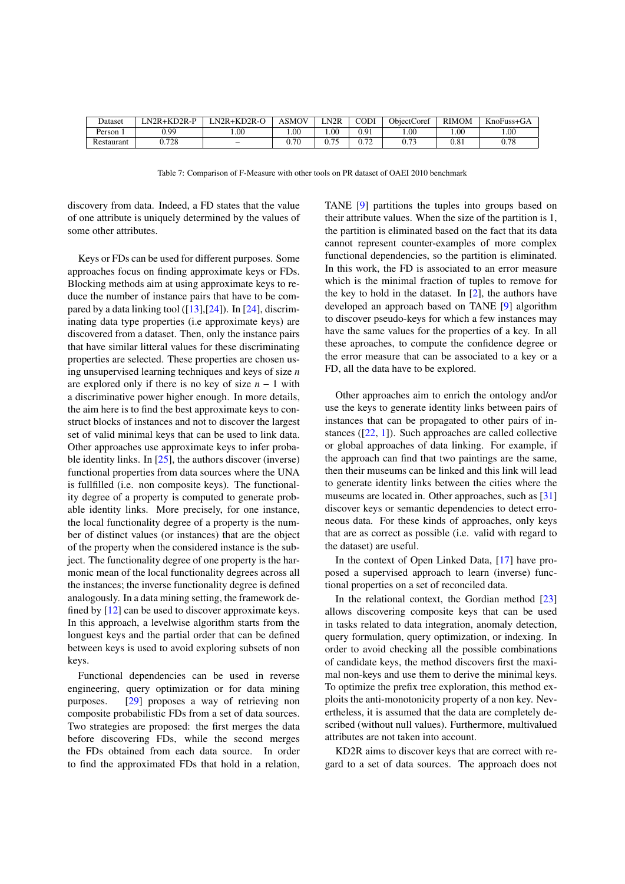<span id="page-19-0"></span>

| Dataset    | $N2R+KD2R-P$ | N2R+KD2R-O | <b>ASMOV</b> | LN2R          | CODI       | <b>ObjectCoref</b> | <b>RIMOM</b> | KnoFuss+GA |
|------------|--------------|------------|--------------|---------------|------------|--------------------|--------------|------------|
| Person.    | 0.99         | .00        | 1.00         | 00.1          | 0.91       | 1.00               | 1.00         | 00.1       |
| Restaurant | 0.728        |            | 0.70         | .77<br>U. I J | $\sqrt{2}$ | 0.73               | 0.81         | 0.78       |

Table 7: Comparison of F-Measure with other tools on PR dataset of OAEI 2010 benchmark

discovery from data. Indeed, a FD states that the value of one attribute is uniquely determined by the values of some other attributes.

Keys or FDs can be used for different purposes. Some approaches focus on finding approximate keys or FDs. Blocking methods aim at using approximate keys to reduce the number of instance pairs that have to be compared by a data linking tool  $(13)$ ,  $[24]$ ). In  $[24]$ , discriminating data type properties (i.e approximate keys) are discovered from a dataset. Then, only the instance pairs that have similar litteral values for these discriminating properties are selected. These properties are chosen using unsupervised learning techniques and keys of size *n* are explored only if there is no key of size *n* − 1 with a discriminative power higher enough. In more details, the aim here is to find the best approximate keys to construct blocks of instances and not to discover the largest set of valid minimal keys that can be used to link data. Other approaches use approximate keys to infer probable identity links. In [\[25\]](#page-21-6), the authors discover (inverse) functional properties from data sources where the UNA is fullfilled (i.e. non composite keys). The functionality degree of a property is computed to generate probable identity links. More precisely, for one instance, the local functionality degree of a property is the number of distinct values (or instances) that are the object of the property when the considered instance is the subject. The functionality degree of one property is the harmonic mean of the local functionality degrees across all the instances; the inverse functionality degree is defined analogously. In a data mining setting, the framework defined by [\[12\]](#page-21-17) can be used to discover approximate keys. In this approach, a levelwise algorithm starts from the longuest keys and the partial order that can be defined between keys is used to avoid exploring subsets of non keys.

Functional dependencies can be used in reverse engineering, query optimization or for data mining purposes. [\[29\]](#page-21-18) proposes a way of retrieving non composite probabilistic FDs from a set of data sources. Two strategies are proposed: the first merges the data before discovering FDs, while the second merges the FDs obtained from each data source. In order to find the approximated FDs that hold in a relation, TANE [\[9\]](#page-20-11) partitions the tuples into groups based on their attribute values. When the size of the partition is 1, the partition is eliminated based on the fact that its data cannot represent counter-examples of more complex functional dependencies, so the partition is eliminated. In this work, the FD is associated to an error measure which is the minimal fraction of tuples to remove for the key to hold in the dataset. In  $[2]$ , the authors have developed an approach based on TANE [\[9\]](#page-20-11) algorithm to discover pseudo-keys for which a few instances may have the same values for the properties of a key. In all these aproaches, to compute the confidence degree or the error measure that can be associated to a key or a FD, all the data have to be explored.

Other approaches aim to enrich the ontology and/or use the keys to generate identity links between pairs of instances that can be propagated to other pairs of instances ([\[22,](#page-21-5) [1\]](#page-20-3)). Such approaches are called collective or global approaches of data linking. For example, if the approach can find that two paintings are the same, then their museums can be linked and this link will lead to generate identity links between the cities where the museums are located in. Other approaches, such as [\[31\]](#page-21-19) discover keys or semantic dependencies to detect erroneous data. For these kinds of approaches, only keys that are as correct as possible (i.e. valid with regard to the dataset) are useful.

In the context of Open Linked Data, [\[17\]](#page-21-11) have proposed a supervised approach to learn (inverse) functional properties on a set of reconciled data.

In the relational context, the Gordian method [\[23\]](#page-21-12) allows discovering composite keys that can be used in tasks related to data integration, anomaly detection, query formulation, query optimization, or indexing. In order to avoid checking all the possible combinations of candidate keys, the method discovers first the maximal non-keys and use them to derive the minimal keys. To optimize the prefix tree exploration, this method exploits the anti-monotonicity property of a non key. Nevertheless, it is assumed that the data are completely described (without null values). Furthermore, multivalued attributes are not taken into account.

KD2R aims to discover keys that are correct with regard to a set of data sources. The approach does not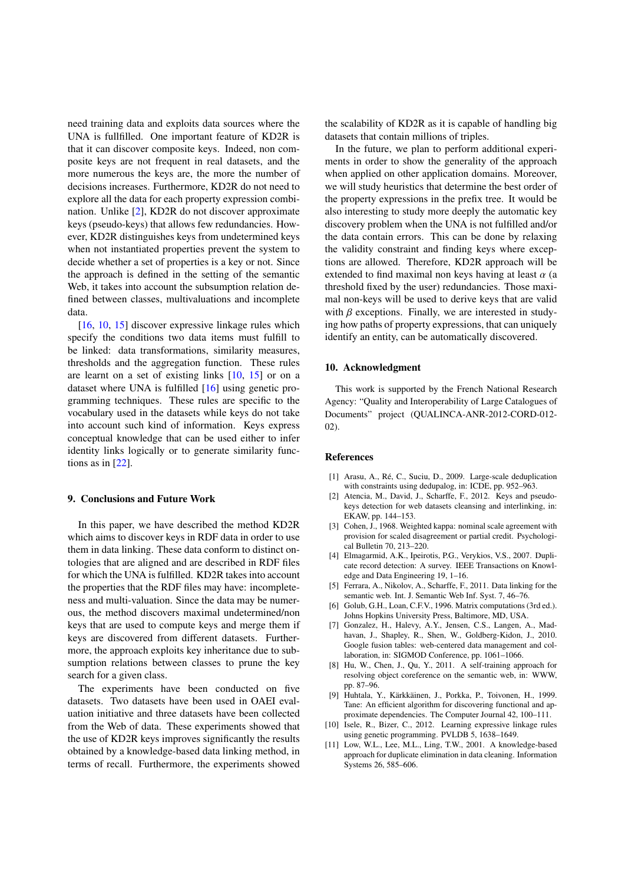need training data and exploits data sources where the UNA is fullfilled. One important feature of KD2R is that it can discover composite keys. Indeed, non composite keys are not frequent in real datasets, and the more numerous the keys are, the more the number of decisions increases. Furthermore, KD2R do not need to explore all the data for each property expression combination. Unlike [\[2\]](#page-20-6), KD2R do not discover approximate keys (pseudo-keys) that allows few redundancies. However, KD2R distinguishes keys from undetermined keys when not instantiated properties prevent the system to decide whether a set of properties is a key or not. Since the approach is defined in the setting of the semantic Web, it takes into account the subsumption relation defined between classes, multivaluations and incomplete data.

[\[16,](#page-21-3) [10,](#page-20-4) [15\]](#page-21-2) discover expressive linkage rules which specify the conditions two data items must fulfill to be linked: data transformations, similarity measures, thresholds and the aggregation function. These rules are learnt on a set of existing links [\[10,](#page-20-4) [15\]](#page-21-2) or on a dataset where UNA is fulfilled [\[16\]](#page-21-3) using genetic programming techniques. These rules are specific to the vocabulary used in the datasets while keys do not take into account such kind of information. Keys express conceptual knowledge that can be used either to infer identity links logically or to generate similarity functions as in [\[22\]](#page-21-5).

### <span id="page-20-7"></span>9. Conclusions and Future Work

In this paper, we have described the method KD2R which aims to discover keys in RDF data in order to use them in data linking. These data conform to distinct ontologies that are aligned and are described in RDF files for which the UNA is fulfilled. KD2R takes into account the properties that the RDF files may have: incompleteness and multi-valuation. Since the data may be numerous, the method discovers maximal undetermined/non keys that are used to compute keys and merge them if keys are discovered from different datasets. Furthermore, the approach exploits key inheritance due to subsumption relations between classes to prune the key search for a given class.

The experiments have been conducted on five datasets. Two datasets have been used in OAEI evaluation initiative and three datasets have been collected from the Web of data. These experiments showed that the use of KD2R keys improves significantly the results obtained by a knowledge-based data linking method, in terms of recall. Furthermore, the experiments showed

the scalability of KD2R as it is capable of handling big datasets that contain millions of triples.

In the future, we plan to perform additional experiments in order to show the generality of the approach when applied on other application domains. Moreover, we will study heuristics that determine the best order of the property expressions in the prefix tree. It would be also interesting to study more deeply the automatic key discovery problem when the UNA is not fulfilled and/or the data contain errors. This can be done by relaxing the validity constraint and finding keys where exceptions are allowed. Therefore, KD2R approach will be extended to find maximal non keys having at least  $\alpha$  (a threshold fixed by the user) redundancies. Those maximal non-keys will be used to derive keys that are valid with  $\beta$  exceptions. Finally, we are interested in studying how paths of property expressions, that can uniquely identify an entity, can be automatically discovered.

#### 10. Acknowledgment

This work is supported by the French National Research Agency: "Quality and Interoperability of Large Catalogues of Documents" project (QUALINCA-ANR-2012-CORD-012- 02).

#### References

- <span id="page-20-3"></span>[1] Arasu, A., Ré, C., Suciu, D., 2009. Large-scale deduplication with constraints using dedupalog, in: ICDE, pp. 952–963.
- <span id="page-20-6"></span>[2] Atencia, M., David, J., Scharffe, F., 2012. Keys and pseudokeys detection for web datasets cleansing and interlinking, in: EKAW, pp. 144–153.
- <span id="page-20-10"></span>[3] Cohen, J., 1968. Weighted kappa: nominal scale agreement with provision for scaled disagreement or partial credit. Psychological Bulletin 70, 213–220.
- <span id="page-20-1"></span>[4] Elmagarmid, A.K., Ipeirotis, P.G., Verykios, V.S., 2007. Duplicate record detection: A survey. IEEE Transactions on Knowledge and Data Engineering 19, 1–16.
- <span id="page-20-0"></span>[5] Ferrara, A., Nikolov, A., Scharffe, F., 2011. Data linking for the semantic web. Int. J. Semantic Web Inf. Syst. 7, 46–76.
- <span id="page-20-9"></span>[6] Golub, G.H., Loan, C.F.V., 1996. Matrix computations (3rd ed.). Johns Hopkins University Press, Baltimore, MD, USA.
- <span id="page-20-8"></span>[7] Gonzalez, H., Halevy, A.Y., Jensen, C.S., Langen, A., Madhavan, J., Shapley, R., Shen, W., Goldberg-Kidon, J., 2010. Google fusion tables: web-centered data management and collaboration, in: SIGMOD Conference, pp. 1061–1066.
- <span id="page-20-5"></span>[8] Hu, W., Chen, J., Qu, Y., 2011. A self-training approach for resolving object coreference on the semantic web, in: WWW, pp. 87–96.
- <span id="page-20-11"></span>[9] Huhtala, Y., Kärkkäinen, J., Porkka, P., Toivonen, H., 1999. Tane: An efficient algorithm for discovering functional and approximate dependencies. The Computer Journal 42, 100–111.
- <span id="page-20-4"></span>[10] Isele, R., Bizer, C., 2012. Learning expressive linkage rules using genetic programming. PVLDB 5, 1638–1649.
- <span id="page-20-2"></span>[11] Low, W.L., Lee, M.L., Ling, T.W., 2001. A knowledge-based approach for duplicate elimination in data cleaning. Information Systems 26, 585–606.